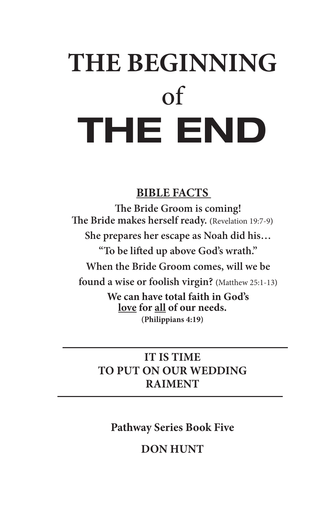# **THE BEGINNING** of THE END

## **BIBLE FACTS**

**The Bride Groom is coming! The Bride makes herself ready. (**Revelation 19:7-9**) She prepares her escape as Noah did his… "To be lifted up above God's wrath." When the Bride Groom comes, will we be found a wise or foolish virgin? (**Matthew 25:1-13**) We can have total faith in God's love for all of our needs. (Philippians 4:19)**

## **IT IS TIME TO PUT ON OUR WEDDING RAIMENT**

## **Pathway Series Book Five**

## **DON HUNT**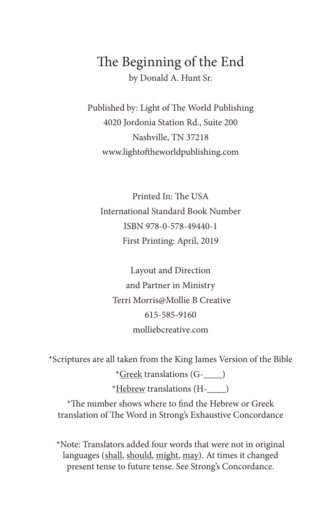## The Beginning of the End by Donald A. Hunt Sr.

Published by: Light of The World Publishing 4020 Jordonia Station Rd., Suite 200 Nashville, TN 37218 www.lightoftheworldpublishing.com

Printed In: The USA International Standard Book Number ISBN 978-0-578-49440-1 First Printing: April, 2019

Layout and Direction and Partner in Ministry Terri Morris@Mollie B Creative 615-585-9160 molliebcreative.com

\*Scriptures are all taken from the King James Version of the Bible

\*Greek translations (G-\_\_\_\_) \*Hebrew translations (H-\_\_\_\_)

\*The number shows where to find the Hebrew or Greek translation of The Word in Strong's Exhaustive Concordance

\*Note: Translators added four words that were not in original languages (shall, should, might, may). At times it changed present tense to future tense. See Strong's Concordance.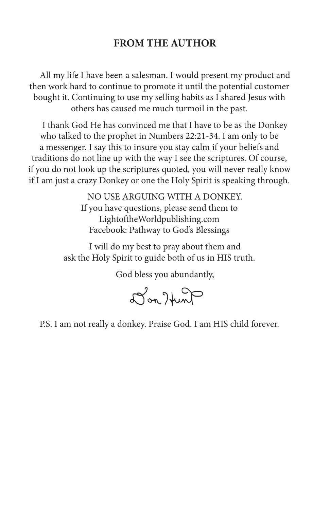#### **FROM THE AUTHOR**

All my life I have been a salesman. I would present my product and then work hard to continue to promote it until the potential customer bought it. Continuing to use my selling habits as I shared Jesus with others has caused me much turmoil in the past.

I thank God He has convinced me that I have to be as the Donkey who talked to the prophet in Numbers 22:21-34. I am only to be a messenger. I say this to insure you stay calm if your beliefs and traditions do not line up with the way I see the scriptures. Of course, if you do not look up the scriptures quoted, you will never really know if I am just a crazy Donkey or one the Holy Spirit is speaking through.

> NO USE ARGUING WITH A DONKEY. If you have questions, please send them to LightoftheWorldpublishing.com Facebook: Pathway to God's Blessings

I will do my best to pray about them and ask the Holy Spirit to guide both of us in HIS truth.

God bless you abundantly,

Jon Hunt

P.S. I am not really a donkey. Praise God. I am HIS child forever.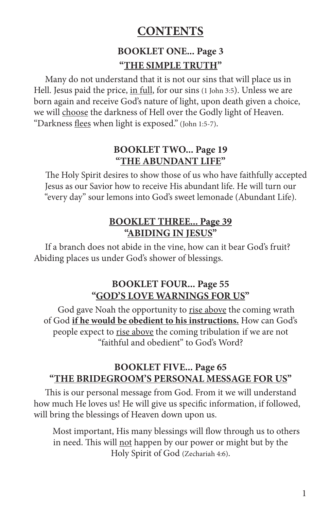## **CONTENTS**

## **BOOKLET ONE... Page 3 "THE SIMPLE TRUTH"**

Many do not understand that it is not our sins that will place us in Hell. Jesus paid the price, in full, for our sins (1 John 3:5). Unless we are born again and receive God's nature of light, upon death given a choice, we will choose the darkness of Hell over the Godly light of Heaven. "Darkness flees when light is exposed." (John 1:5-7).

#### **BOOKLET TWO... Page 19 "THE ABUNDANT LIFE"**

The Holy Spirit desires to show those of us who have faithfully accepted Jesus as our Savior how to receive His abundant life. He will turn our "every day" sour lemons into God's sweet lemonade (Abundant Life).

#### **BOOKLET THREE... Page 39 "ABIDING IN JESUS"**

If a branch does not abide in the vine, how can it bear God's fruit? Abiding places us under God's shower of blessings.

#### **BOOKLET FOUR... Page 55 "GOD'S LOVE WARNINGS FOR US"**

God gave Noah the opportunity to rise above the coming wrath of God **if he would be obedient to his instructions.** How can God's people expect to rise above the coming tribulation if we are not "faithful and obedient" to God's Word?

#### **BOOKLET FIVE... Page 65 "THE BRIDEGROOM'S PERSONAL MESSAGE FOR US"**

This is our personal message from God. From it we will understand how much He loves us! He will give us specific information, if followed, will bring the blessings of Heaven down upon us.

Most important, His many blessings will flow through us to others in need. This will not happen by our power or might but by the Holy Spirit of God (Zechariah 4:6).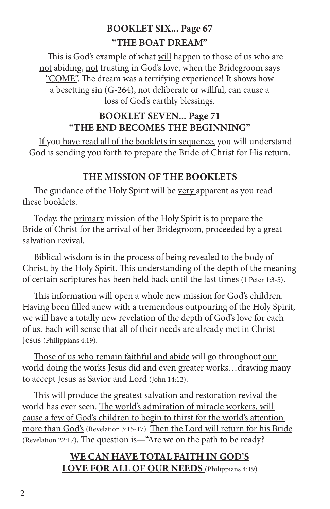## **BOOKLET SIX... Page 67 "THE BOAT DREAM"**

This is God's example of what will happen to those of us who are not abiding, not trusting in God's love, when the Bridegroom says "COME". The dream was a terrifying experience! It shows how a besetting sin (G-264), not deliberate or willful, can cause a loss of God's earthly blessings.

#### **BOOKLET SEVEN... Page 71 "THE END BECOMES THE BEGINNING"**

If you have read all of the booklets in sequence, you will understand God is sending you forth to prepare the Bride of Christ for His return.

#### **THE MISSION OF THE BOOKLETS**

The guidance of the Holy Spirit will be very apparent as you read these booklets.

Today, the primary mission of the Holy Spirit is to prepare the Bride of Christ for the arrival of her Bridegroom, proceeded by a great salvation revival.

Biblical wisdom is in the process of being revealed to the body of Christ, by the Holy Spirit. This understanding of the depth of the meaning of certain scriptures has been held back until the last times (1 Peter 1:3-5).

This information will open a whole new mission for God's children. Having been filled anew with a tremendous outpouring of the Holy Spirit, we will have a totally new revelation of the depth of God's love for each of us. Each will sense that all of their needs are already met in Christ Jesus (Philippians 4:19).

Those of us who remain faithful and abide will go throughout our world doing the works Jesus did and even greater works…drawing many to accept Jesus as Savior and Lord (John 14:12).

This will produce the greatest salvation and restoration revival the world has ever seen. The world's admiration of miracle workers, will cause a few of God's children to begin to thirst for the world's attention more than God's (Revelation 3:15-17). Then the Lord will return for his Bride (Revelation 22:17). The question is—"Are we on the path to be ready?

#### **WE CAN HAVE TOTAL FAITH IN GOD'S LOVE FOR ALL OF OUR NEEDS** (Philippians 4:19)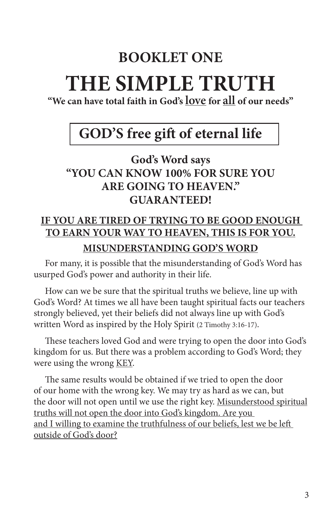## **BOOKLET ONE**

## **THE SIMPLE TRUTH**

**"We can have total faith in God's love for all of our needs"**

## **GOD'S free gift of eternal life**

## **God's Word says "YOU CAN KNOW 100% FOR SURE YOU ARE GOING TO HEAVEN." GUARANTEED!**

## **IF YOU ARE TIRED OF TRYING TO BE GOOD ENOUGH TO EARN YOUR WAY TO HEAVEN, THIS IS FOR YOU. MISUNDERSTANDING GOD'S WORD**

For many, it is possible that the misunderstanding of God's Word has usurped God's power and authority in their life.

How can we be sure that the spiritual truths we believe, line up with God's Word? At times we all have been taught spiritual facts our teachers strongly believed, yet their beliefs did not always line up with God's written Word as inspired by the Holy Spirit (2 Timothy 3:16-17).

These teachers loved God and were trying to open the door into God's kingdom for us. But there was a problem according to God's Word; they were using the wrong KEY.

The same results would be obtained if we tried to open the door of our home with the wrong key. We may try as hard as we can, but the door will not open until we use the right key. Misunderstood spiritual truths will not open the door into God's kingdom. Are you and I willing to examine the truthfulness of our beliefs, lest we be left outside of God's door?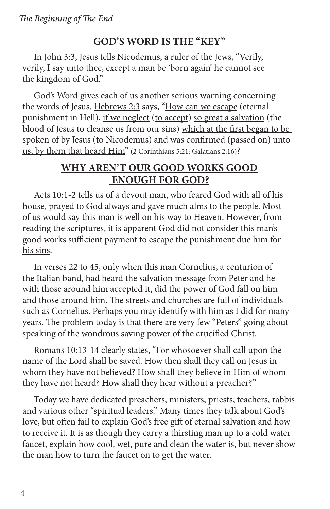#### **GOD'S WORD IS THE "KEY"**

In John 3:3, Jesus tells Nicodemus, a ruler of the Jews, "Verily, verily, I say unto thee, except a man be 'born again' he cannot see the kingdom of God."

God's Word gives each of us another serious warning concerning the words of Jesus. Hebrews 2:3 says, "How can we escape (eternal punishment in Hell), if we neglect (to accept) so great a salvation (the blood of Jesus to cleanse us from our sins) which at the first began to be spoken of by Jesus (to Nicodemus) and was confirmed (passed on) unto us, by them that heard Him" (2 Corinthians 5:21; Galatians 2:16)?

#### **WHY AREN'T OUR GOOD WORKS GOOD ENOUGH FOR GOD?**

Acts 10:1-2 tells us of a devout man, who feared God with all of his house, prayed to God always and gave much alms to the people. Most of us would say this man is well on his way to Heaven. However, from reading the scriptures, it is apparent God did not consider this man's good works sufficient payment to escape the punishment due him for his sins.

In verses 22 to 45, only when this man Cornelius, a centurion of the Italian band, had heard the salvation message from Peter and he with those around him accepted it, did the power of God fall on him and those around him. The streets and churches are full of individuals such as Cornelius. Perhaps you may identify with him as I did for many years. The problem today is that there are very few "Peters" going about speaking of the wondrous saving power of the crucified Christ.

Romans 10:13-14 clearly states, "For whosoever shall call upon the name of the Lord shall be saved. How then shall they call on Jesus in whom they have not believed? How shall they believe in Him of whom they have not heard? How shall they hear without a preacher?"

Today we have dedicated preachers, ministers, priests, teachers, rabbis and various other "spiritual leaders." Many times they talk about God's love, but often fail to explain God's free gift of eternal salvation and how to receive it. It is as though they carry a thirsting man up to a cold water faucet, explain how cool, wet, pure and clean the water is, but never show the man how to turn the faucet on to get the water.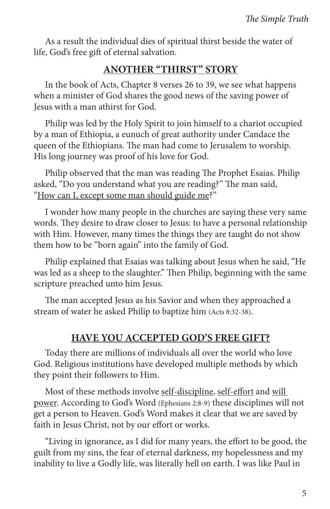As a result the individual dies of spiritual thirst beside the water of life, God's free gift of eternal salvation.

#### **ANOTHER "THIRST" STORY**

In the book of Acts, Chapter 8 verses 26 to 39, we see what happens when a minister of God shares the good news of the saving power of Jesus with a man athirst for God.

Philip was led by the Holy Spirit to join himself to a chariot occupied by a man of Ethiopia, a eunuch of great authority under Candace the queen of the Ethiopians. The man had come to Jerusalem to worship. His long journey was proof of his love for God.

Philip observed that the man was reading The Prophet Esaias. Philip asked, "Do you understand what you are reading?" The man said, "How can I, except some man should guide me?"

I wonder how many people in the churches are saying these very same words. They desire to draw closer to Jesus: to have a personal relationship with Him. However, many times the things they are taught do not show them how to be "born again" into the family of God.

Philip explained that Esaias was talking about Jesus when he said, "He was led as a sheep to the slaughter." Then Philip, beginning with the same scripture preached unto him Jesus.

The man accepted Jesus as his Savior and when they approached a stream of water he asked Philip to baptize him (Acts 8:32-38).

#### **HAVE YOU ACCEPTED GOD'S FREE GIFT?**

Today there are millions of individuals all over the world who love God. Religious institutions have developed multiple methods by which they point their followers to Him.

Most of these methods involve self-discipline, self-effort and will power. According to God's Word (Ephesians 2:8-9) these disciplines will not get a person to Heaven. God's Word makes it clear that we are saved by faith in Jesus Christ, not by our effort or works.

"Living in ignorance, as I did for many years, the effort to be good, the guilt from my sins, the fear of eternal darkness, my hopelessness and my inability to live a Godly life, was literally hell on earth. I was like Paul in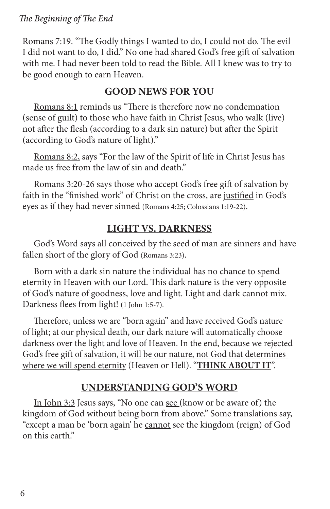Romans 7:19. "The Godly things I wanted to do, I could not do. The evil I did not want to do, I did." No one had shared God's free gift of salvation with me. I had never been told to read the Bible. All I knew was to try to be good enough to earn Heaven.

## **GOOD NEWS FOR YOU**

Romans 8:1 reminds us "There is therefore now no condemnation (sense of guilt) to those who have faith in Christ Jesus, who walk (live) not after the flesh (according to a dark sin nature) but after the Spirit (according to God's nature of light)."

Romans 8:2, says "For the law of the Spirit of life in Christ Jesus has made us free from the law of sin and death."

Romans 3:20-26 says those who accept God's free gift of salvation by faith in the "finished work" of Christ on the cross, are justified in God's eyes as if they had never sinned (Romans 4:25; Colossians 1:19-22).

## **LIGHT VS. DARKNESS**

God's Word says all conceived by the seed of man are sinners and have fallen short of the glory of God (Romans 3:23).

Born with a dark sin nature the individual has no chance to spend eternity in Heaven with our Lord. This dark nature is the very opposite of God's nature of goodness, love and light. Light and dark cannot mix. Darkness flees from light! (1 John 1:5-7).

Therefore, unless we are "born again" and have received God's nature of light; at our physical death, our dark nature will automatically choose darkness over the light and love of Heaven. In the end, because we rejected God's free gift of salvation, it will be our nature, not God that determines where we will spend eternity (Heaven or Hell). "**THINK ABOUT IT**".

#### **UNDERSTANDING GOD'S WORD**

In John 3:3 Jesus says, "No one can see (know or be aware of) the kingdom of God without being born from above." Some translations say, "except a man be 'born again' he cannot see the kingdom (reign) of God on this earth."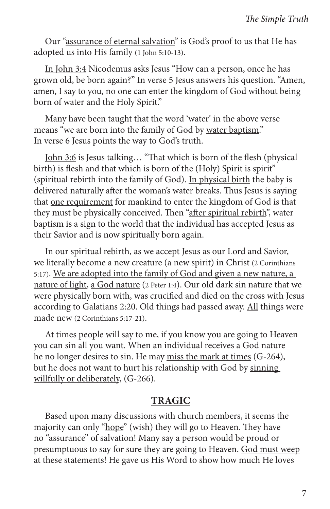Our "assurance of eternal salvation" is God's proof to us that He has adopted us into His family (1 John 5:10-13).

In John 3:4 Nicodemus asks Jesus "How can a person, once he has grown old, be born again?" In verse 5 Jesus answers his question. "Amen, amen, I say to you, no one can enter the kingdom of God without being born of water and the Holy Spirit."

Many have been taught that the word 'water' in the above verse means "we are born into the family of God by water baptism." In verse 6 Jesus points the way to God's truth.

John 3:6 is Jesus talking… "That which is born of the flesh (physical birth) is flesh and that which is born of the (Holy) Spirit is spirit" (spiritual rebirth into the family of God). In physical birth the baby is delivered naturally after the woman's water breaks. Thus Jesus is saying that one requirement for mankind to enter the kingdom of God is that they must be physically conceived. Then "after spiritual rebirth", water baptism is a sign to the world that the individual has accepted Jesus as their Savior and is now spiritually born again.

In our spiritual rebirth, as we accept Jesus as our Lord and Savior, we literally become a new creature (a new spirit) in Christ (2 Corinthians 5:17). We are adopted into the family of God and given a new nature, a nature of light, a God nature (2 Peter 1:4). Our old dark sin nature that we were physically born with, was crucified and died on the cross with Jesus according to Galatians 2:20. Old things had passed away. All things were made new (2 Corinthians 5:17-21).

At times people will say to me, if you know you are going to Heaven you can sin all you want. When an individual receives a God nature he no longer desires to sin. He may miss the mark at times (G-264), but he does not want to hurt his relationship with God by sinning willfully or deliberately, (G-266).

#### **TRAGIC**

Based upon many discussions with church members, it seems the majority can only "hope" (wish) they will go to Heaven. They have no "assurance" of salvation! Many say a person would be proud or presumptuous to say for sure they are going to Heaven. God must weep at these statements! He gave us His Word to show how much He loves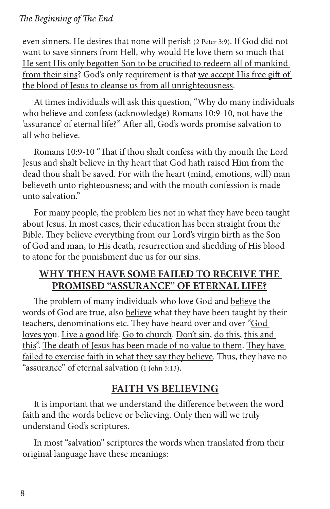#### *The Beginning of The End*

even sinners. He desires that none will perish (2 Peter 3:9). If God did not want to save sinners from Hell, why would He love them so much that He sent His only begotten Son to be crucified to redeem all of mankind from their sins? God's only requirement is that we accept His free gift of the blood of Jesus to cleanse us from all unrighteousness.

At times individuals will ask this question, "Why do many individuals who believe and confess (acknowledge) Romans 10:9-10, not have the 'assurance' of eternal life?" After all, God's words promise salvation to all who believe.

Romans 10:9-10 "That if thou shalt confess with thy mouth the Lord Jesus and shalt believe in thy heart that God hath raised Him from the dead thou shalt be saved. For with the heart (mind, emotions, will) man believeth unto righteousness; and with the mouth confession is made unto salvation."

For many people, the problem lies not in what they have been taught about Jesus. In most cases, their education has been straight from the Bible. They believe everything from our Lord's virgin birth as the Son of God and man, to His death, resurrection and shedding of His blood to atone for the punishment due us for our sins.

#### **WHY THEN HAVE SOME FAILED TO RECEIVE THE PROMISED "ASSURANCE" OF ETERNAL LIFE?**

The problem of many individuals who love God and believe the words of God are true, also believe what they have been taught by their teachers, denominations etc. They have heard over and over "God loves you. Live a good life. Go to church. Don't sin, do this, this and this". The death of Jesus has been made of no value to them. They have failed to exercise faith in what they say they believe. Thus, they have no "assurance" of eternal salvation (1 John 5:13).

#### **FAITH VS BELIEVING**

It is important that we understand the difference between the word faith and the words believe or believing. Only then will we truly understand God's scriptures.

In most "salvation" scriptures the words when translated from their original language have these meanings: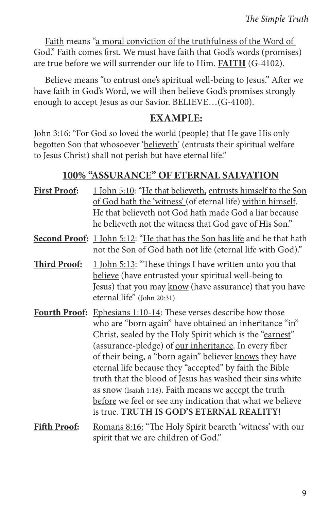Faith means "a moral conviction of the truthfulness of the Word of God." Faith comes first. We must have faith that God's words (promises) are true before we will surrender our life to Him. **FAITH** (G-4102).

Believe means "to entrust one's spiritual well-being to Jesus." After we have faith in God's Word, we will then believe God's promises strongly enough to accept Jesus as our Savior. BELIEVE…(G-4100).

#### **EXAMPLE:**

John 3:16: "For God so loved the world (people) that He gave His only begotten Son that whosoever 'believeth' (entrusts their spiritual welfare to Jesus Christ) shall not perish but have eternal life."

#### **100% "ASSURANCE" OF ETERNAL SALVATION**

| <b>First Proof:</b> | 1 John 5:10: "He that believeth, entrusts himself to the Son<br>of God hath the 'witness' (of eternal life) within himself.<br>He that believeth not God hath made God a liar because<br>he believeth not the witness that God gave of His Son."                                                                                                                                                                                                                                                                                                                                                             |
|---------------------|--------------------------------------------------------------------------------------------------------------------------------------------------------------------------------------------------------------------------------------------------------------------------------------------------------------------------------------------------------------------------------------------------------------------------------------------------------------------------------------------------------------------------------------------------------------------------------------------------------------|
|                     | <b>Second Proof:</b> 1 John 5:12: "He that has the Son has life and he that hath<br>not the Son of God hath not life (eternal life with God)."                                                                                                                                                                                                                                                                                                                                                                                                                                                               |
| <b>Third Proof:</b> | 1 John 5:13: "These things I have written unto you that<br>believe (have entrusted your spiritual well-being to<br>Jesus) that you may know (have assurance) that you have<br>eternal life" (John 20:31).                                                                                                                                                                                                                                                                                                                                                                                                    |
|                     | <b>Fourth Proof:</b> Ephesians 1:10-14: These verses describe how those<br>who are "born again" have obtained an inheritance "in"<br>Christ, sealed by the Holy Spirit which is the "earnest"<br>(assurance-pledge) of our inheritance. In every fiber<br>of their being, a "born again" believer knows they have<br>eternal life because they "accepted" by faith the Bible<br>truth that the blood of Jesus has washed their sins white<br>as snow (Isaiah 1:18). Faith means we accept the truth<br>before we feel or see any indication that what we believe<br>is true. TRUTH IS GOD'S ETERNAL REALITY! |
| <b>Fifth Proof:</b> | Romans 8:16: "The Holy Spirit beareth 'witness' with our<br>spirit that we are children of God."                                                                                                                                                                                                                                                                                                                                                                                                                                                                                                             |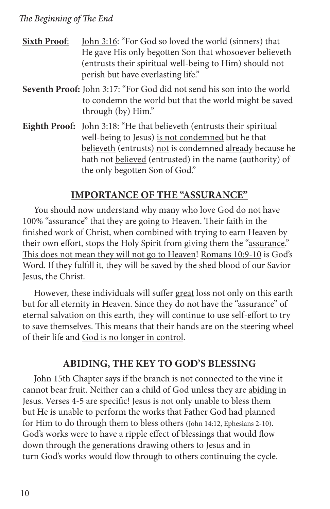#### *The Beginning of The End*

- **Sixth Proof:** John 3:16: "For God so loved the world (sinners) that He gave His only begotten Son that whosoever believeth (entrusts their spiritual well-being to Him) should not perish but have everlasting life."
- **Seventh Proof:** John 3:17: "For God did not send his son into the world to condemn the world but that the world might be saved through (by) Him."
- **Eighth Proof:** John 3:18: "He that believeth (entrusts their spiritual well-being to Jesus) is not condemned but he that believeth (entrusts) not is condemned already because he hath not believed (entrusted) in the name (authority) of the only begotten Son of God."

#### **IMPORTANCE OF THE "ASSURANCE"**

You should now understand why many who love God do not have 100% "assurance" that they are going to Heaven. Their faith in the finished work of Christ, when combined with trying to earn Heaven by their own effort, stops the Holy Spirit from giving them the "assurance." This does not mean they will not go to Heaven! Romans 10:9-10 is God's Word. If they fulfill it, they will be saved by the shed blood of our Savior Jesus, the Christ.

However, these individuals will suffer great loss not only on this earth but for all eternity in Heaven. Since they do not have the "assurance" of eternal salvation on this earth, they will continue to use self-effort to try to save themselves. This means that their hands are on the steering wheel of their life and God is no longer in control.

#### **ABIDING, THE KEY TO GOD'S BLESSING**

John 15th Chapter says if the branch is not connected to the vine it cannot bear fruit. Neither can a child of God unless they are abiding in Jesus. Verses 4-5 are specific! Jesus is not only unable to bless them but He is unable to perform the works that Father God had planned for Him to do through them to bless others (John 14:12, Ephesians 2-10). God's works were to have a ripple effect of blessings that would flow down through the generations drawing others to Jesus and in turn God's works would flow through to others continuing the cycle.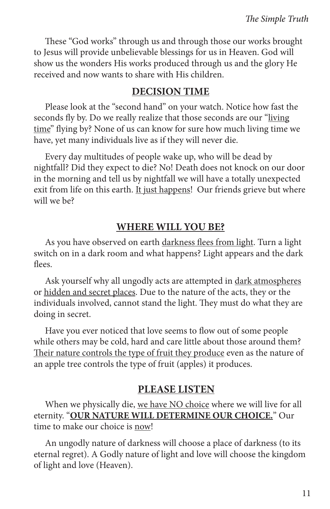These "God works" through us and through those our works brought to Jesus will provide unbelievable blessings for us in Heaven. God will show us the wonders His works produced through us and the glory He received and now wants to share with His children.

#### **DECISION TIME**

Please look at the "second hand" on your watch. Notice how fast the seconds fly by. Do we really realize that those seconds are our "living time" flying by? None of us can know for sure how much living time we have, yet many individuals live as if they will never die.

Every day multitudes of people wake up, who will be dead by nightfall? Did they expect to die? No! Death does not knock on our door in the morning and tell us by nightfall we will have a totally unexpected exit from life on this earth. It just happens! Our friends grieve but where will we be?

#### **WHERE WILL YOU BE?**

As you have observed on earth darkness flees from light. Turn a light switch on in a dark room and what happens? Light appears and the dark flees.

Ask yourself why all ungodly acts are attempted in dark atmospheres or hidden and secret places. Due to the nature of the acts, they or the individuals involved, cannot stand the light. They must do what they are doing in secret.

Have you ever noticed that love seems to flow out of some people while others may be cold, hard and care little about those around them? Their nature controls the type of fruit they produce even as the nature of an apple tree controls the type of fruit (apples) it produces.

#### **PLEASE LISTEN**

When we physically die, we have NO choice where we will live for all eternity. "**OUR NATURE WILL DETERMINE OUR CHOICE.**" Our time to make our choice is now!

An ungodly nature of darkness will choose a place of darkness (to its eternal regret). A Godly nature of light and love will choose the kingdom of light and love (Heaven).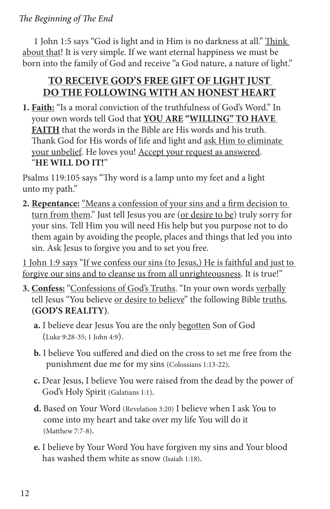1 John 1:5 says "God is light and in Him is no darkness at all." Think about that! It is very simple. If we want eternal happiness we must be born into the family of God and receive "a God nature, a nature of light."

## **TO RECEIVE GOD'S FREE GIFT OF LIGHT JUST DO THE FOLLOWING WITH AN HONEST HEART**

**1. Faith:** "Is a moral conviction of the truthfulness of God's Word." In your own words tell God that **YOU ARE "WILLING" TO HAVE FAITH** that the words in the Bible are His words and his truth. Thank God for His words of life and light and ask Him to eliminate your unbelief. He loves you! Accept your request as answered. "**HE WILL DO IT!**"

Psalms 119:105 says "Thy word is a lamp unto my feet and a light unto my path."

**2. Repentance:** "Means a confession of your sins and a firm decision to turn from them." Just tell Jesus you are (or desire to be) truly sorry for your sins. Tell Him you will need His help but you purpose not to do them again by avoiding the people, places and things that led you into sin. Ask Jesus to forgive you and to set you free.

1 John 1:9 says "If we confess our sins (to Jesus,) He is faithful and just to forgive our sins and to cleanse us from all unrighteousness. It is true!"

- **3. Confess:** "Confessions of God's Truths. "In your own words verbally tell Jesus "You believe or desire to believe" the following Bible truths, **(GOD'S REALITY)**.
	- **a.** I believe dear Jesus You are the only begotten Son of God (Luke 9:28-35; 1 John 4:9).
	- **b.** I believe You suffered and died on the cross to set me free from the punishment due me for my sins (Colossians 1:13-22).
	- **c.** Dear Jesus, I believe You were raised from the dead by the power of God's Holy Spirit (Galatians 1:1).
	- **d.** Based on Your Word (Revelation 3:20) I believe when I ask You to come into my heart and take over my life You will do it (Matthew 7:7-8).
	- **e.** I believe by Your Word You have forgiven my sins and Your blood has washed them white as snow (Isaiah 1:18).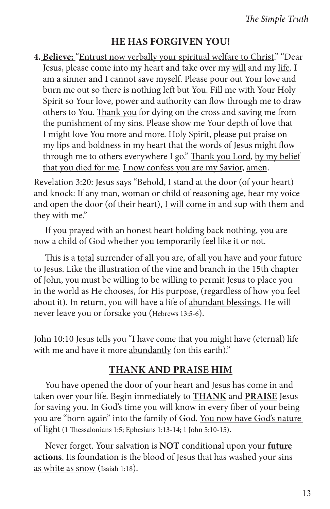#### **HE HAS FORGIVEN YOU!**

**4. Believe:** "Entrust now verbally your spiritual welfare to Christ." "Dear Jesus, please come into my heart and take over my will and my life. I am a sinner and I cannot save myself. Please pour out Your love and burn me out so there is nothing left but You. Fill me with Your Holy Spirit so Your love, power and authority can flow through me to draw others to You. Thank you for dying on the cross and saving me from the punishment of my sins. Please show me Your depth of love that I might love You more and more. Holy Spirit, please put praise on my lips and boldness in my heart that the words of Jesus might flow through me to others everywhere I go." Thank you Lord, by my belief that you died for me. I now confess you are my Savior, amen.

Revelation 3:20: Jesus says "Behold, I stand at the door (of your heart) and knock: If any man, woman or child of reasoning age, hear my voice and open the door (of their heart), I will come in and sup with them and they with me."

If you prayed with an honest heart holding back nothing, you are now a child of God whether you temporarily feel like it or not.

This is a total surrender of all you are, of all you have and your future to Jesus. Like the illustration of the vine and branch in the 15th chapter of John, you must be willing to be willing to permit Jesus to place you in the world as He chooses, for His purpose, (regardless of how you feel about it). In return, you will have a life of abundant blessings. He will never leave you or forsake you (Hebrews 13:5-6).

John 10:10 Jesus tells you "I have come that you might have (eternal) life with me and have it more abundantly (on this earth)."

#### **THANK AND PRAISE HIM**

You have opened the door of your heart and Jesus has come in and taken over your life. Begin immediately to **THANK** and **PRAISE** Jesus for saving you. In God's time you will know in every fiber of your being you are "born again" into the family of God. You now have God's nature of light (1 Thessalonians 1:5; Ephesians 1:13-14; 1 John 5:10-15).

Never forget. Your salvation is **NOT** conditional upon your **future actions**. Its foundation is the blood of Jesus that has washed your sins as white as snow (Isaiah 1:18).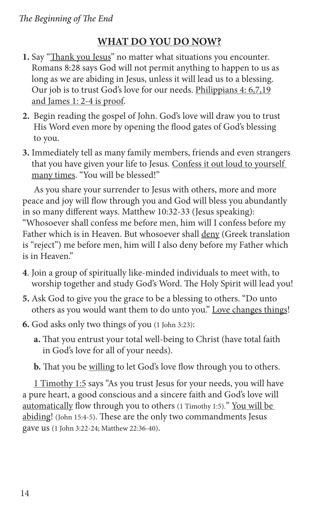### **WHAT DO YOU DO NOW?**

- **1.** Say "Thank you Jesus" no matter what situations you encounter. Romans 8:28 says God will not permit anything to happen to us as long as we are abiding in Jesus, unless it will lead us to a blessing. Our job is to trust God's love for our needs. Philippians 4: 6,7,19 and James 1: 2-4 is proof.
- **2.** Begin reading the gospel of John. God's love will draw you to trust His Word even more by opening the flood gates of God's blessing to you.
- **3.** Immediately tell as many family members, friends and even strangers that you have given your life to Jesus. Confess it out loud to yourself many times. "You will be blessed!"

As you share your surrender to Jesus with others, more and more peace and joy will flow through you and God will bless you abundantly in so many different ways. Matthew 10:32-33 (Jesus speaking): "Whosoever shall confess me before men, him will I confess before my Father which is in Heaven. But whosoever shall deny (Greek translation is "reject") me before men, him will I also deny before my Father which is in Heaven."

- **4**. Join a group of spiritually like-minded individuals to meet with, to worship together and study God's Word. The Holy Spirit will lead you!
- **5.** Ask God to give you the grace to be a blessing to others. "Do unto others as you would want them to do unto you." Love changes things!
- **6.** God asks only two things of you (1 John 3:23):
	- **a.** That you entrust your total well-being to Christ (have total faith in God's love for all of your needs).

**b.** That you be willing to let God's love flow through you to others.

1 Timothy 1:5 says "As you trust Jesus for your needs, you will have a pure heart, a good conscious and a sincere faith and God's love will automatically flow through you to others (1 Timothy 1:5)." You will be abiding! (John 15:4-5). These are the only two commandments Jesus gave us (1 John 3:22-24; Matthew 22:36-40).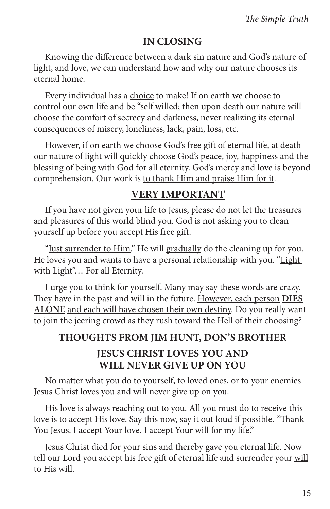#### **IN CLOSING**

Knowing the difference between a dark sin nature and God's nature of light, and love, we can understand how and why our nature chooses its eternal home.

Every individual has a choice to make! If on earth we choose to control our own life and be "self willed; then upon death our nature will choose the comfort of secrecy and darkness, never realizing its eternal consequences of misery, loneliness, lack, pain, loss, etc.

However, if on earth we choose God's free gift of eternal life, at death our nature of light will quickly choose God's peace, joy, happiness and the blessing of being with God for all eternity. God's mercy and love is beyond comprehension. Our work is to thank Him and praise Him for it.

#### **VERY IMPORTANT**

If you have not given your life to Jesus, please do not let the treasures and pleasures of this world blind you. God is not asking you to clean yourself up before you accept His free gift.

"Just surrender to Him." He will gradually do the cleaning up for you. He loves you and wants to have a personal relationship with you. "Light with Light"... For all Eternity.

I urge you to think for yourself. Many may say these words are crazy. They have in the past and will in the future. However, each person **DIES ALONE** and each will have chosen their own destiny. Do you really want to join the jeering crowd as they rush toward the Hell of their choosing?

## **THOUGHTS FROM JIM HUNT, DON'S BROTHER JESUS CHRIST LOVES YOU AND WILL NEVER GIVE UP ON YOU**

No matter what you do to yourself, to loved ones, or to your enemies Jesus Christ loves you and will never give up on you.

His love is always reaching out to you. All you must do to receive this love is to accept His love. Say this now, say it out loud if possible. "Thank You Jesus. I accept Your love. I accept Your will for my life."

Jesus Christ died for your sins and thereby gave you eternal life. Now tell our Lord you accept his free gift of eternal life and surrender your will to His will.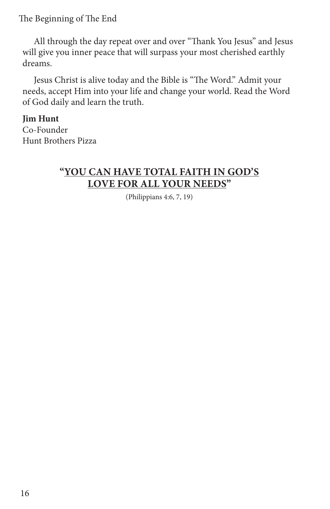The Beginning of The End

All through the day repeat over and over "Thank You Jesus" and Jesus will give you inner peace that will surpass your most cherished earthly dreams.

Jesus Christ is alive today and the Bible is "The Word." Admit your needs, accept Him into your life and change your world. Read the Word of God daily and learn the truth.

**Jim Hunt** Co-Founder Hunt Brothers Pizza

#### **"YOU CAN HAVE TOTAL FAITH IN GOD'S LOVE FOR ALL YOUR NEEDS"**

(Philippians 4:6, 7, 19)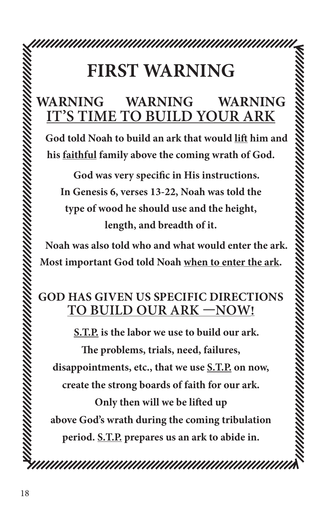## **FIRST WARNING**

## **WARNING WARNING WARNING IT'S TIME TO BUILD YOUR ARK**

**God told Noah to build an ark that would lift him and his faithful family above the coming wrath of God.**

**God was very specific in His instructions. In Genesis 6, verses 13-22, Noah was told the type of wood he should use and the height, length, and breadth of it.**

**Noah was also told who and what would enter the ark. Most important God told Noah when to enter the ark.**

## **GOD HAS GIVEN US SPECIFIC DIRECTIONS TO BUILD OUR ARK —NOW!**

**S.T.P. is the labor we use to build our ark.** 

**The problems, trials, need, failures, disappointments, etc., that we use S.T.P. on now,** 

**create the strong boards of faith for our ark.** 

**Only then will we be lifted up above God's wrath during the coming tribulation period. S.T.P. prepares us an ark to abide in.**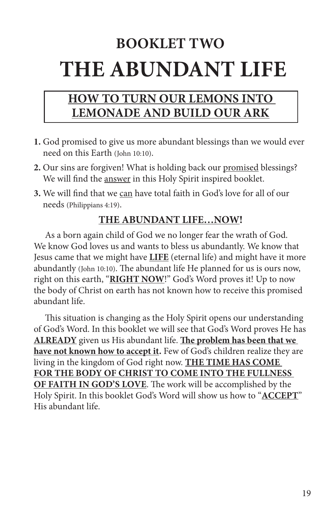## **BOOKLET TWO THE ABUNDANT LIFE**

## **HOW TO TURN OUR LEMONS INTO LEMONADE AND BUILD OUR ARK**

- **1.** God promised to give us more abundant blessings than we would ever need on this Earth (John 10:10).
- **2.** Our sins are forgiven! What is holding back our promised blessings? We will find the answer in this Holy Spirit inspired booklet.
- **3.** We will find that we can have total faith in God's love for all of our needs (Philippians 4:19).

#### **THE ABUNDANT LIFE…NOW!**

As a born again child of God we no longer fear the wrath of God. We know God loves us and wants to bless us abundantly. We know that Jesus came that we might have **LIFE** (eternal life) and might have it more abundantly (John 10:10). The abundant life He planned for us is ours now, right on this earth, "**RIGHT NOW**!" God's Word proves it! Up to now the body of Christ on earth has not known how to receive this promised abundant life.

This situation is changing as the Holy Spirit opens our understanding of God's Word. In this booklet we will see that God's Word proves He has **ALREADY** given us His abundant life. **The problem has been that we have not known how to accept it.** Few of God's children realize they are living in the kingdom of God right now. **THE TIME HAS COME FOR THE BODY OF CHRIST TO COME INTO THE FULLNESS OF FAITH IN GOD'S LOVE**. The work will be accomplished by the Holy Spirit. In this booklet God's Word will show us how to "**ACCEPT**" His abundant life.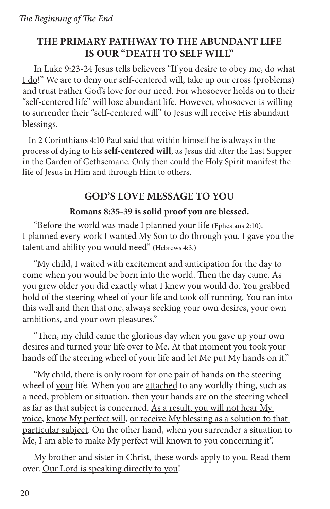#### **THE PRIMARY PATHWAY TO THE ABUNDANT LIFE IS OUR "DEATH TO SELF WILL"**

In Luke 9:23-24 Jesus tells believers "If you desire to obey me, do what I do!" We are to deny our self-centered will, take up our cross (problems) and trust Father God's love for our need. For whosoever holds on to their "self-centered life" will lose abundant life. However, whosoever is willing to surrender their "self-centered will" to Jesus will receive His abundant blessings.

In 2 Corinthians 4:10 Paul said that within himself he is always in the process of dying to his **self-centered will**, as Jesus did after the Last Supper in the Garden of Gethsemane. Only then could the Holy Spirit manifest the life of Jesus in Him and through Him to others.

#### **GOD'S LOVE MESSAGE TO YOU**

#### **Romans 8:35-39 is solid proof you are blessed.**

"Before the world was made I planned your life (Ephesians 2:10). I planned every work I wanted My Son to do through you. I gave you the talent and ability you would need" (Hebrews 4:3.)

"My child, I waited with excitement and anticipation for the day to come when you would be born into the world. Then the day came. As you grew older you did exactly what I knew you would do. You grabbed hold of the steering wheel of your life and took off running. You ran into this wall and then that one, always seeking your own desires, your own ambitions, and your own pleasures."

"Then, my child came the glorious day when you gave up your own desires and turned your life over to Me. At that moment you took your hands off the steering wheel of your life and let Me put My hands on it."

"My child, there is only room for one pair of hands on the steering wheel of your life. When you are attached to any worldly thing, such as a need, problem or situation, then your hands are on the steering wheel as far as that subject is concerned. As a result, you will not hear My voice, know My perfect will, or receive My blessing as a solution to that particular subject. On the other hand, when you surrender a situation to Me, I am able to make My perfect will known to you concerning it".

My brother and sister in Christ, these words apply to you. Read them over. Our Lord is speaking directly to you!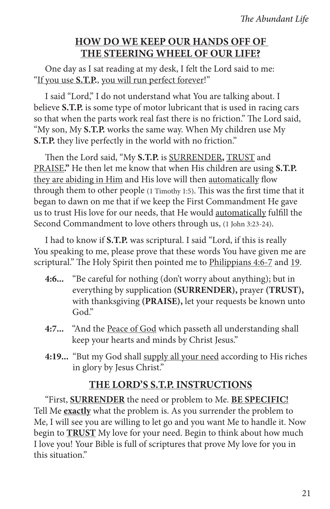#### **HOW DO WE KEEP OUR HANDS OFF OF THE STEERING WHEEL OF OUR LIFE?**

One day as I sat reading at my desk, I felt the Lord said to me: "If you use **S.T.P.**, you will run perfect forever!"

I said "Lord," I do not understand what You are talking about. I believe **S.T.P.** is some type of motor lubricant that is used in racing cars so that when the parts work real fast there is no friction." The Lord said, "My son, My **S.T.P.** works the same way. When My children use My **S.T.P.** they live perfectly in the world with no friction."

Then the Lord said, "My **S.T.P.** is SURRENDER**,** TRUST and PRAISE**."** He then let me know that when His children are using **S.T.P.** they are abiding in Him and His love will then automatically flow through them to other people (1 Timothy 1:5). This was the first time that it began to dawn on me that if we keep the First Commandment He gave us to trust His love for our needs, that He would automatically fulfill the Second Commandment to love others through us, (1 John 3:23-24).

I had to know if **S.T.P.** was scriptural. I said "Lord, if this is really You speaking to me, please prove that these words You have given me are scriptural." The Holy Spirit then pointed me to Philippians 4:6-7 and 19.

- **4:6...** "Be careful for nothing (don't worry about anything); but in everything by supplication **(SURRENDER),** prayer **(TRUST),** with thanksgiving **(PRAISE),** let your requests be known unto God."
- **4:7...** "And the Peace of God which passeth all understanding shall keep your hearts and minds by Christ Jesus."
- **4:19...** "But my God shall supply all your need according to His riches in glory by Jesus Christ."

#### **THE LORD'S S.T.P. INSTRUCTIONS**

"First, **SURRENDER** the need or problem to Me. **BE SPECIFIC!** Tell Me **exactly** what the problem is. As you surrender the problem to Me, I will see you are willing to let go and you want Me to handle it. Now begin to **TRUST** My love for your need. Begin to think about how much I love you! Your Bible is full of scriptures that prove My love for you in this situation."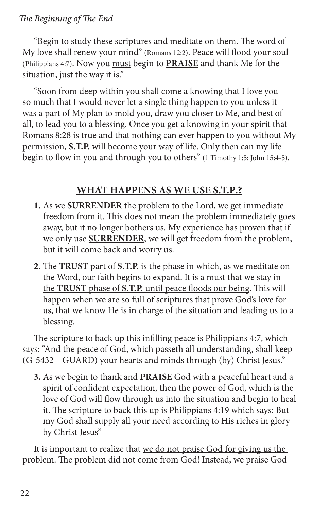#### *The Beginning of The End*

"Begin to study these scriptures and meditate on them. The word of My love shall renew your mind" (Romans 12:2). Peace will flood your soul (Philippians 4:7). Now you must begin to **PRAISE** and thank Me for the situation, just the way it is."

"Soon from deep within you shall come a knowing that I love you so much that I would never let a single thing happen to you unless it was a part of My plan to mold you, draw you closer to Me, and best of all, to lead you to a blessing. Once you get a knowing in your spirit that Romans 8:28 is true and that nothing can ever happen to you without My permission, **S.T.P.** will become your way of life. Only then can my life begin to flow in you and through you to others" (1 Timothy 1:5; John 15:4-5).

#### **WHAT HAPPENS AS WE USE S.T.P.?**

- **1.** As we **SURRENDER** the problem to the Lord, we get immediate freedom from it. This does not mean the problem immediately goes away, but it no longer bothers us. My experience has proven that if we only use **SURRENDER**, we will get freedom from the problem, but it will come back and worry us.
- **2.** The **TRUST** part of **S.T.P.** is the phase in which, as we meditate on the Word, our faith begins to expand. It is a must that we stay in the **TRUST** phase of **S.T.P.** until peace floods our being. This will happen when we are so full of scriptures that prove God's love for us, that we know He is in charge of the situation and leading us to a blessing.

The scripture to back up this infilling peace is **Philippians 4:7**, which says: "And the peace of God, which passeth all understanding, shall keep (G-5432—GUARD) your hearts and minds through (by) Christ Jesus."

**3.** As we begin to thank and **PRAISE** God with a peaceful heart and a spirit of confident expectation, then the power of God, which is the love of God will flow through us into the situation and begin to heal it. The scripture to back this up is Philippians 4:19 which says: But my God shall supply all your need according to His riches in glory by Christ Jesus"

It is important to realize that we do not praise God for giving us the problem. The problem did not come from God! Instead, we praise God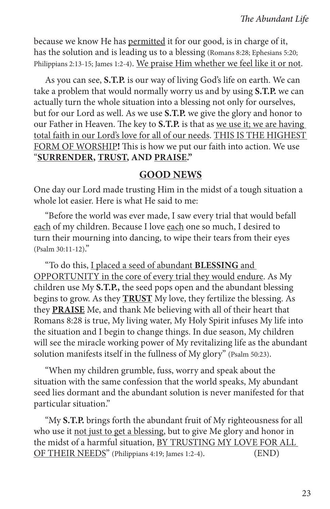because we know He has permitted it for our good, is in charge of it, has the solution and is leading us to a blessing (Romans 8:28; Ephesians 5:20; Philippians 2:13-15; James 1:2-4). We praise Him whether we feel like it or not.

As you can see, **S.T.P.** is our way of living God's life on earth. We can take a problem that would normally worry us and by using **S.T.P.** we can actually turn the whole situation into a blessing not only for ourselves, but for our Lord as well. As we use **S.T.P.** we give the glory and honor to our Father in Heaven. The key to **S.T.P.** is that as we use it; we are having total faith in our Lord's love for all of our needs. THIS IS THE HIGHEST FORM OF WORSHIP**!** This is how we put our faith into action. We use "**SURRENDER, TRUST, AND PRAISE."**

#### **GOOD NEWS**

One day our Lord made trusting Him in the midst of a tough situation a whole lot easier. Here is what He said to me:

"Before the world was ever made, I saw every trial that would befall each of my children. Because I love each one so much, I desired to turn their mourning into dancing, to wipe their tears from their eyes (Psalm 30:11-12)."

"To do this, I placed a seed of abundant **BLESSING** and OPPORTUNITY in the core of every trial they would endure. As My children use My **S.T.P.,** the seed pops open and the abundant blessing begins to grow. As they **TRUST** My love, they fertilize the blessing. As they **PRAISE** Me, and thank Me believing with all of their heart that Romans 8:28 is true, My living water, My Holy Spirit infuses My life into the situation and I begin to change things. In due season, My children will see the miracle working power of My revitalizing life as the abundant solution manifests itself in the fullness of My glory" (Psalm 50:23).

"When my children grumble, fuss, worry and speak about the situation with the same confession that the world speaks, My abundant seed lies dormant and the abundant solution is never manifested for that particular situation."

"My **S.T.P.** brings forth the abundant fruit of My righteousness for all who use it not just to get a blessing, but to give Me glory and honor in the midst of a harmful situation, BY TRUSTING MY LOVE FOR ALL OF THEIR NEEDS" (Philippians 4:19; James 1:2-4). (END)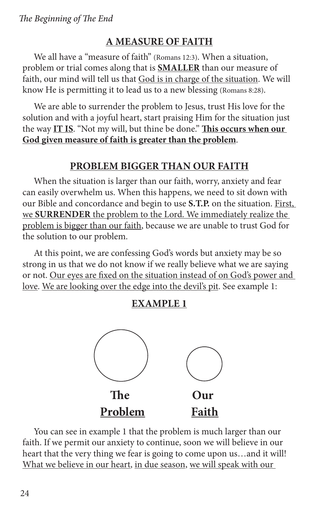## **A MEASURE OF FAITH**

We all have a "measure of faith" (Romans 12:3). When a situation, problem or trial comes along that is **SMALLER** than our measure of faith, our mind will tell us that God is in charge of the situation. We will know He is permitting it to lead us to a new blessing (Romans 8:28).

We are able to surrender the problem to Jesus, trust His love for the solution and with a joyful heart, start praising Him for the situation just the way **IT IS**. "Not my will, but thine be done." **This occurs when our God given measure of faith is greater than the problem**.

#### **PROBLEM BIGGER THAN OUR FAITH**

When the situation is larger than our faith, worry, anxiety and fear can easily overwhelm us. When this happens, we need to sit down with our Bible and concordance and begin to use **S.T.P.** on the situation. First, we **SURRENDER** the problem to the Lord. We immediately realize the problem is bigger than our faith, because we are unable to trust God for the solution to our problem.

At this point, we are confessing God's words but anxiety may be so strong in us that we do not know if we really believe what we are saying or not. Our eyes are fixed on the situation instead of on God's power and love. We are looking over the edge into the devil's pit. See example 1:

#### **EXAMPLE 1**



You can see in example 1 that the problem is much larger than our faith. If we permit our anxiety to continue, soon we will believe in our heart that the very thing we fear is going to come upon us…and it will! What we believe in our heart, in due season, we will speak with our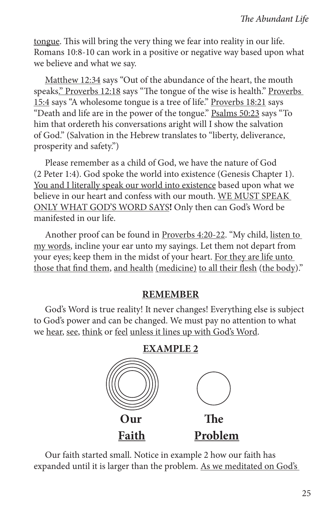tongue. This will bring the very thing we fear into reality in our life. Romans 10:8-10 can work in a positive or negative way based upon what we believe and what we say.

Matthew 12:34 says "Out of the abundance of the heart, the mouth speaks." Proverbs 12:18 says "The tongue of the wise is health." Proverbs 15:4 says "A wholesome tongue is a tree of life." Proverbs 18:21 says "Death and life are in the power of the tongue." Psalms 50:23 says "To him that ordereth his conversations aright will I show the salvation of God." (Salvation in the Hebrew translates to "liberty, deliverance, prosperity and safety.")

Please remember as a child of God, we have the nature of God (2 Peter 1:4). God spoke the world into existence (Genesis Chapter 1). You and I literally speak our world into existence based upon what we believe in our heart and confess with our mouth. WE MUST SPEAK ONLY WHAT GOD'S WORD SAYS**!** Only then can God's Word be manifested in our life.

Another proof can be found in Proverbs 4:20-22. "My child, listen to my words, incline your ear unto my sayings. Let them not depart from your eyes; keep them in the midst of your heart. For they are life unto those that find them, and health (medicine) to all their flesh (the body)."

#### **REMEMBER**

God's Word is true reality! It never changes! Everything else is subject to God's power and can be changed. We must pay no attention to what we hear, see, think or feel unless it lines up with God's Word.



Our faith started small. Notice in example 2 how our faith has expanded until it is larger than the problem. As we meditated on God's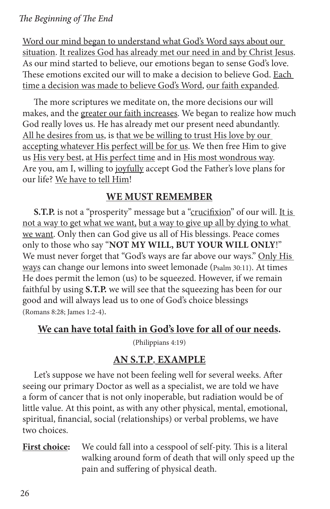#### *The Beginning of The End*

Word our mind began to understand what God's Word says about our situation. It realizes God has already met our need in and by Christ Jesus. As our mind started to believe, our emotions began to sense God's love. These emotions excited our will to make a decision to believe God. Each time a decision was made to believe God's Word, our faith expanded.

The more scriptures we meditate on, the more decisions our will makes, and the greater our faith increases. We began to realize how much God really loves us. He has already met our present need abundantly. All he desires from us, is that we be willing to trust His love by our accepting whatever His perfect will be for us. We then free Him to give us His very best, at His perfect time and in His most wondrous way. Are you, am I, willing to joyfully accept God the Father's love plans for our life? We have to tell Him!

#### **WE MUST REMEMBER**

**S.T.P.** is not a "prosperity" message but a "crucifixion" of our will. It is not a way to get what we want, but a way to give up all by dying to what we want. Only then can God give us all of His blessings. Peace comes only to those who say "**NOT MY WILL, BUT YOUR WILL ONLY**!" We must never forget that "God's ways are far above our ways." Only His ways can change our lemons into sweet lemonade (Psalm 30:11). At times He does permit the lemon (us) to be squeezed. However, if we remain faithful by using **S.T.P.** we will see that the squeezing has been for our good and will always lead us to one of God's choice blessings (Romans 8:28; James 1:2-4).

#### **We can have total faith in God's love for all of our needs.**

(Philippians 4:19)

#### **AN S.T.P. EXAMPLE**

Let's suppose we have not been feeling well for several weeks. After seeing our primary Doctor as well as a specialist, we are told we have a form of cancer that is not only inoperable, but radiation would be of little value. At this point, as with any other physical, mental, emotional, spiritual, financial, social (relationships) or verbal problems, we have two choices.

#### **First choice:** We could fall into a cesspool of self-pity. This is a literal walking around form of death that will only speed up the pain and suffering of physical death.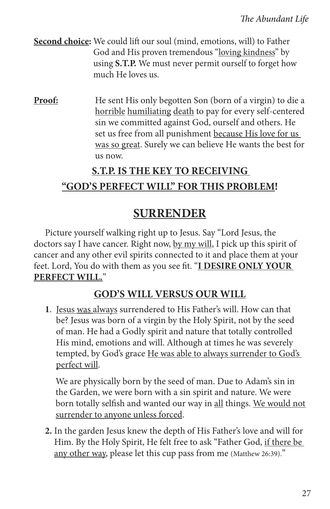**Second choice:** We could lift our soul (mind, emotions, will) to Father God and His proven tremendous "loving kindness" by using **S.T.P.** We must never permit ourself to forget how much He loves us.

**Proof:** He sent His only begotten Son (born of a virgin) to die a horrible humiliating death to pay for every self-centered sin we committed against God, ourself and others. He set us free from all punishment because His love for us was so great. Surely we can believe He wants the best for us now.

## **S.T.P. IS THE KEY TO RECEIVING**

## **"GOD'S PERFECT WILL" FOR THIS PROBLEM!**

## **SURRENDER**

Picture yourself walking right up to Jesus. Say "Lord Jesus, the doctors say I have cancer. Right now, by my will, I pick up this spirit of cancer and any other evil spirits connected to it and place them at your feet. Lord, You do with them as you see fit. "**I DESIRE ONLY YOUR PERFECT WILL.**"

## **GOD'S WILL VERSUS OUR WILL**

**1**. Jesus was always surrendered to His Father's will. How can that be? Jesus was born of a virgin by the Holy Spirit, not by the seed of man. He had a Godly spirit and nature that totally controlled His mind, emotions and will. Although at times he was severely tempted, by God's grace He was able to always surrender to God's perfect will.

 We are physically born by the seed of man. Due to Adam's sin in the Garden, we were born with a sin spirit and nature. We were born totally selfish and wanted our way in all things. We would not surrender to anyone unless forced.

**2.** In the garden Jesus knew the depth of His Father's love and will for Him. By the Holy Spirit, He felt free to ask "Father God, if there be any other way, please let this cup pass from me (Matthew 26:39)."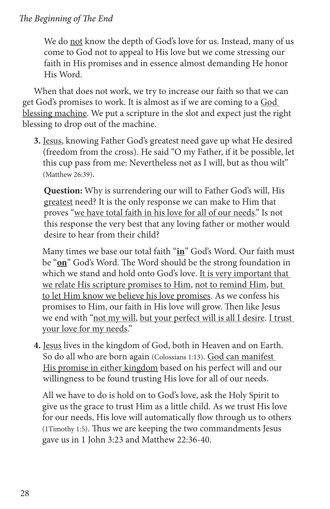#### *The Beginning of The End*

We do not know the depth of God's love for us. Instead, many of us come to God not to appeal to His love but we come stressing our faith in His promises and in essence almost demanding He honor His Word.

When that does not work, we try to increase our faith so that we can get God's promises to work. It is almost as if we are coming to a God blessing machine. We put a scripture in the slot and expect just the right blessing to drop out of the machine.

**3.** Jesus, knowing Father God's greatest need gave up what He desired (freedom from the cross). He said "O my Father, if it be possible, let this cup pass from me: Nevertheless not as I will, but as thou wilt" (Matthew 26:39).

 **Question:** Why is surrendering our will to Father God's will, His greatest need? It is the only response we can make to Him that proves "we have total faith in his love for all of our needs." Is not this response the very best that any loving father or mother would desire to hear from their child?

 Many times we base our total faith "**in**" God's Word. Our faith must be "**on**" God's Word. The Word should be the strong foundation in which we stand and hold onto God's love. It is very important that we relate His scripture promises to Him, not to remind Him, but to let Him know we believe his love promises. As we confess his promises to Him, our faith in His love will grow. Then like Jesus we end with "not my will, but your perfect will is all I desire. I trust your love for my needs."

**4.** Jesus lives in the kingdom of God, both in Heaven and on Earth. So do all who are born again (Colossians 1:13). God can manifest His promise in either kingdom based on his perfect will and our willingness to be found trusting His love for all of our needs.

 All we have to do is hold on to God's love, ask the Holy Spirit to give us the grace to trust Him as a little child. As we trust His love for our needs, His love will automatically flow through us to others (1Timothy 1:5). Thus we are keeping the two commandments Jesus gave us in 1 John 3:23 and Matthew 22:36-40.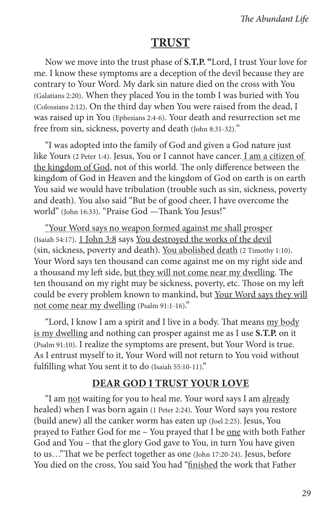## **TRUST**

Now we move into the trust phase of **S.T.P. "**Lord, I trust Your love for me. I know these symptoms are a deception of the devil because they are contrary to Your Word. My dark sin nature died on the cross with You (Galatians 2:20). When they placed You in the tomb I was buried with You (Colossians 2:12). On the third day when You were raised from the dead, I was raised up in You (Ephesians 2:4-6). Your death and resurrection set me free from sin, sickness, poverty and death (John 8:31-32)."

"I was adopted into the family of God and given a God nature just like Yours (2 Peter 1:4). Jesus, You or I cannot have cancer. I am a citizen of the kingdom of God, not of this world. The only difference between the kingdom of God in Heaven and the kingdom of God on earth is on earth You said we would have tribulation (trouble such as sin, sickness, poverty and death). You also said "But be of good cheer, I have overcome the world" (John 16:33). "Praise God —Thank You Jesus!"

"Your Word says no weapon formed against me shall prosper (Isaiah 54:17). 1 John 3:8 says You destroyed the works of the devil (sin, sickness, poverty and death). You abolished death (2 Timothy 1:10). Your Word says ten thousand can come against me on my right side and a thousand my left side, but they will not come near my dwelling. The ten thousand on my right may be sickness, poverty, etc. Those on my left could be every problem known to mankind, but Your Word says they will not come near my dwelling (Psalm 91:1-16)."

"Lord, I know I am a spirit and I live in a body. That means my body is my dwelling and nothing can prosper against me as I use **S.T.P.** on it (Psalm 91:10). I realize the symptoms are present, but Your Word is true. As I entrust myself to it, Your Word will not return to You void without fulfilling what You sent it to do (Isaiah 55:10-11)."

#### **DEAR GOD I TRUST YOUR LOVE**

"I am not waiting for you to heal me. Your word says I am already healed) when I was born again (1 Peter 2:24). Your Word says you restore (build anew) all the canker worm has eaten up (Joel 2:25). Jesus, You prayed to Father God for me – You prayed that I be one with both Father God and You – that the glory God gave to You, in turn You have given to us…"That we be perfect together as one (John 17:20-24). Jesus, before You died on the cross, You said You had "finished the work that Father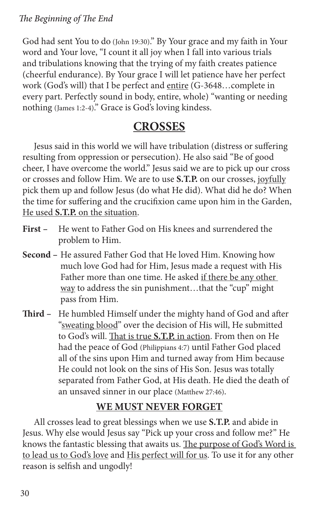God had sent You to do (John 19:30)." By Your grace and my faith in Your word and Your love, "I count it all joy when I fall into various trials and tribulations knowing that the trying of my faith creates patience (cheerful endurance). By Your grace I will let patience have her perfect work (God's will) that I be perfect and entire (G-3648…complete in every part. Perfectly sound in body, entire, whole) "wanting or needing nothing (James 1:2-4)." Grace is God's loving kindess.

## **CROSSES**

Jesus said in this world we will have tribulation (distress or suffering resulting from oppression or persecution). He also said "Be of good cheer, I have overcome the world." Jesus said we are to pick up our cross or crosses and follow Him. We are to use **S.T.P.** on our crosses, joyfully pick them up and follow Jesus (do what He did). What did he do? When the time for suffering and the crucifixion came upon him in the Garden, He used **S.T.P.** on the situation.

- **First –** He went to Father God on His knees and surrendered the problem to Him.
- **Second –** He assured Father God that He loved Him. Knowing how much love God had for Him, Jesus made a request with His Father more than one time. He asked if there be any other way to address the sin punishment…that the "cup" might pass from Him.
- **Third** He humbled Himself under the mighty hand of God and after "sweating blood" over the decision of His will, He submitted to God's will. That is true **S.T.P.** in action. From then on He had the peace of God (Philippians 4:7) until Father God placed all of the sins upon Him and turned away from Him because He could not look on the sins of His Son. Jesus was totally separated from Father God, at His death. He died the death of an unsaved sinner in our place (Matthew 27:46).

## **WE MUST NEVER FORGET**

All crosses lead to great blessings when we use **S.T.P.** and abide in Jesus. Why else would Jesus say "Pick up your cross and follow me?" He knows the fantastic blessing that awaits us. The purpose of God's Word is to lead us to God's love and His perfect will for us. To use it for any other reason is selfish and ungodly!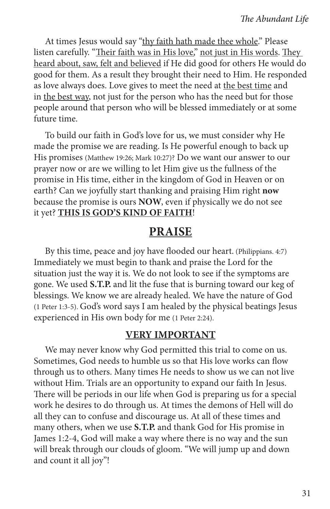At times Jesus would say "thy faith hath made thee whole." Please listen carefully. "Their faith was in His love," not just in His words. They heard about, saw, felt and believed if He did good for others He would do good for them. As a result they brought their need to Him. He responded as love always does. Love gives to meet the need at the best time and in the best way, not just for the person who has the need but for those people around that person who will be blessed immediately or at some future time.

To build our faith in God's love for us, we must consider why He made the promise we are reading. Is He powerful enough to back up His promises (Matthew 19:26; Mark 10:27)? Do we want our answer to our prayer now or are we willing to let Him give us the fullness of the promise in His time, either in the kingdom of God in Heaven or on earth? Can we joyfully start thanking and praising Him right **now** because the promise is ours **NOW**, even if physically we do not see it yet? **THIS IS GOD'S KIND OF FAITH**!

#### **PRAISE**

By this time, peace and joy have flooded our heart. (Philippians. 4:7) Immediately we must begin to thank and praise the Lord for the situation just the way it is. We do not look to see if the symptoms are gone. We used **S.T.P.** and lit the fuse that is burning toward our keg of blessings. We know we are already healed. We have the nature of God (1 Peter 1:3-5). God's word says I am healed by the physical beatings Jesus experienced in His own body for me (1 Peter 2:24).

#### **VERY IMPORTANT**

We may never know why God permitted this trial to come on us. Sometimes, God needs to humble us so that His love works can flow through us to others. Many times He needs to show us we can not live without Him. Trials are an opportunity to expand our faith In Jesus. There will be periods in our life when God is preparing us for a special work he desires to do through us. At times the demons of Hell will do all they can to confuse and discourage us. At all of these times and many others, when we use **S.T.P.** and thank God for His promise in James 1:2-4, God will make a way where there is no way and the sun will break through our clouds of gloom. "We will jump up and down and count it all joy"!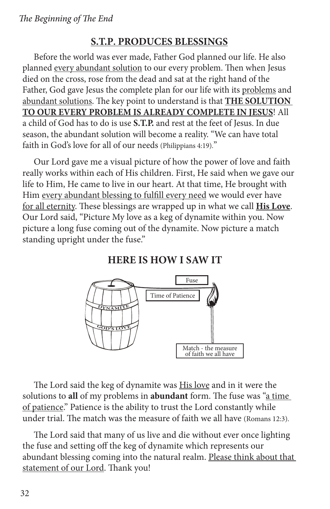#### **S.T.P. PRODUCES BLESSINGS**

Before the world was ever made, Father God planned our life. He also planned every abundant solution to our every problem. Then when Jesus died on the cross, rose from the dead and sat at the right hand of the Father, God gave Jesus the complete plan for our life with its problems and abundant solutions. The key point to understand is that **THE SOLUTION TO OUR EVERY PROBLEM IS ALREADY COMPLETE IN JESUS**! All a child of God has to do is use **S.T.P.** and rest at the feet of Jesus. In due season, the abundant solution will become a reality. "We can have total faith in God's love for all of our needs (Philippians 4:19)."

Our Lord gave me a visual picture of how the power of love and faith really works within each of His children. First, He said when we gave our life to Him, He came to live in our heart. At that time, He brought with Him every abundant blessing to fulfill every need we would ever have for all eternity. These blessings are wrapped up in what we call **His Love**. Our Lord said, "Picture My love as a keg of dynamite within you. Now picture a long fuse coming out of the dynamite. Now picture a match standing upright under the fuse."

#### **HERE IS HOW I SAW IT**



The Lord said the keg of dynamite was **His love** and in it were the solutions to **all** of my problems in **abundant** form. The fuse was "a time of patience." Patience is the ability to trust the Lord constantly while under trial. The match was the measure of faith we all have (Romans 12:3).

The Lord said that many of us live and die without ever once lighting the fuse and setting off the keg of dynamite which represents our abundant blessing coming into the natural realm. Please think about that statement of our Lord. Thank you!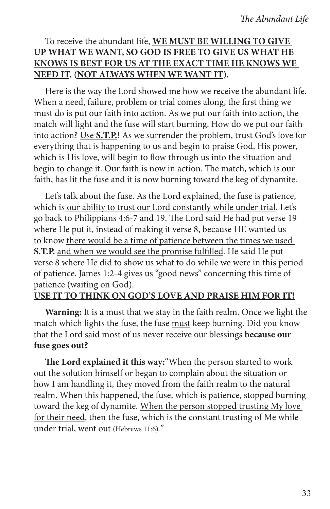#### To receive the abundant life, **WE MUST BE WILLING TO GIVE UP WHAT WE WANT, SO GOD IS FREE TO GIVE US WHAT HE KNOWS IS BEST FOR US AT THE EXACT TIME HE KNOWS WE NEED IT, (NOT ALWAYS WHEN WE WANT IT).**

Here is the way the Lord showed me how we receive the abundant life. When a need, failure, problem or trial comes along, the first thing we must do is put our faith into action. As we put our faith into action, the match will light and the fuse will start burning. How do we put our faith into action? Use **S.T.P.**! As we surrender the problem, trust God's love for everything that is happening to us and begin to praise God, His power, which is His love, will begin to flow through us into the situation and begin to change it. Our faith is now in action. The match, which is our faith, has lit the fuse and it is now burning toward the keg of dynamite.

Let's talk about the fuse. As the Lord explained, the fuse is patience, which is our ability to trust our Lord constantly while under trial. Let's go back to Philippians 4:6-7 and 19. The Lord said He had put verse 19 where He put it, instead of making it verse 8, because HE wanted us to know there would be a time of patience between the times we used **S.T.P.** and when we would see the promise fulfilled. He said He put verse 8 where He did to show us what to do while we were in this period of patience. James 1:2-4 gives us "good news" concerning this time of patience (waiting on God).

#### **USE IT TO THINK ON GOD'S LOVE AND PRAISE HIM FOR IT!**

**Warning:** It is a must that we stay in the faith realm. Once we light the match which lights the fuse, the fuse must keep burning. Did you know that the Lord said most of us never receive our blessings **because our fuse goes out?**

**The Lord explained it this way:**"When the person started to work out the solution himself or began to complain about the situation or how I am handling it, they moved from the faith realm to the natural realm. When this happened, the fuse, which is patience, stopped burning toward the keg of dynamite. When the person stopped trusting My love for their need, then the fuse, which is the constant trusting of Me while under trial, went out (Hebrews 11:6)."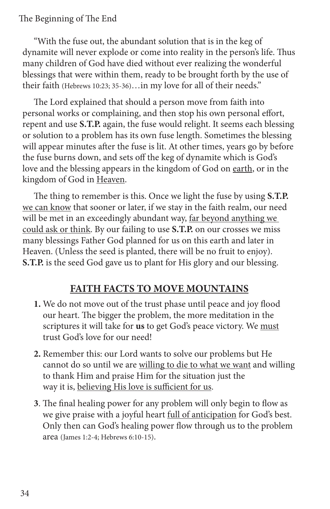"With the fuse out, the abundant solution that is in the keg of dynamite will never explode or come into reality in the person's life. Thus many children of God have died without ever realizing the wonderful blessings that were within them, ready to be brought forth by the use of their faith (Hebrews 10:23; 35-36)…in my love for all of their needs."

The Lord explained that should a person move from faith into personal works or complaining, and then stop his own personal effort, repent and use **S.T.P.** again, the fuse would relight. It seems each blessing or solution to a problem has its own fuse length. Sometimes the blessing will appear minutes after the fuse is lit. At other times, years go by before the fuse burns down, and sets off the keg of dynamite which is God's love and the blessing appears in the kingdom of God on earth, or in the kingdom of God in Heaven.

The thing to remember is this. Once we light the fuse by using **S.T.P.** we can know that sooner or later, if we stay in the faith realm, our need will be met in an exceedingly abundant way, far beyond anything we could ask or think. By our failing to use **S.T.P.** on our crosses we miss many blessings Father God planned for us on this earth and later in Heaven. (Unless the seed is planted, there will be no fruit to enjoy). **S.T.P.** is the seed God gave us to plant for His glory and our blessing.

## **FAITH FACTS TO MOVE MOUNTAINS**

- **1.** We do not move out of the trust phase until peace and joy flood our heart. The bigger the problem, the more meditation in the scriptures it will take for **us** to get God's peace victory. We must trust God's love for our need!
- **2.** Remember this: our Lord wants to solve our problems but He cannot do so until we are willing to die to what we want and willing to thank Him and praise Him for the situation just the way it is, believing His love is sufficient for us.
- **3**. The final healing power for any problem will only begin to flow as we give praise with a joyful heart full of anticipation for God's best. Only then can God's healing power flow through us to the problem area (James 1:2-4; Hebrews 6:10-15).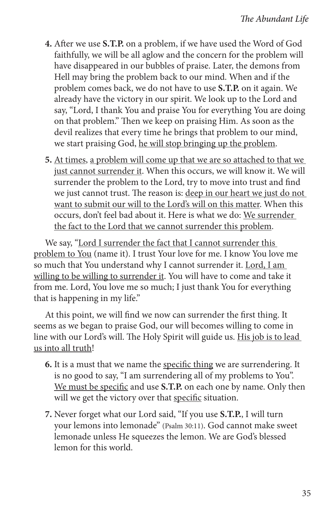- **4.** After we use **S.T.P.** on a problem, if we have used the Word of God faithfully, we will be all aglow and the concern for the problem will have disappeared in our bubbles of praise. Later, the demons from Hell may bring the problem back to our mind. When and if the problem comes back, we do not have to use **S.T.P.** on it again. We already have the victory in our spirit. We look up to the Lord and say, "Lord, I thank You and praise You for everything You are doing on that problem." Then we keep on praising Him. As soon as the devil realizes that every time he brings that problem to our mind, we start praising God, he will stop bringing up the problem.
- **5.** At times, a problem will come up that we are so attached to that we just cannot surrender it. When this occurs, we will know it. We will surrender the problem to the Lord, try to move into trust and find we just cannot trust. The reason is: deep in our heart we just do not want to submit our will to the Lord's will on this matter. When this occurs, don't feel bad about it. Here is what we do: We surrender the fact to the Lord that we cannot surrender this problem.

We say, "Lord I surrender the fact that I cannot surrender this problem to You (name it). I trust Your love for me. I know You love me so much that You understand why I cannot surrender it. Lord, I am willing to be willing to surrender it. You will have to come and take it from me. Lord, You love me so much; I just thank You for everything that is happening in my life."

At this point, we will find we now can surrender the first thing. It seems as we began to praise God, our will becomes willing to come in line with our Lord's will. The Holy Spirit will guide us. His job is to lead us into all truth!

- **6.** It is a must that we name the specific thing we are surrendering. It is no good to say, "I am surrendering all of my problems to You". We must be specific and use **S.T.P.** on each one by name. Only then will we get the victory over that specific situation.
- **7.** Never forget what our Lord said, "If you use **S.T.P.**, I will turn your lemons into lemonade" (Psalm 30:11). God cannot make sweet lemonade unless He squeezes the lemon. We are God's blessed lemon for this world.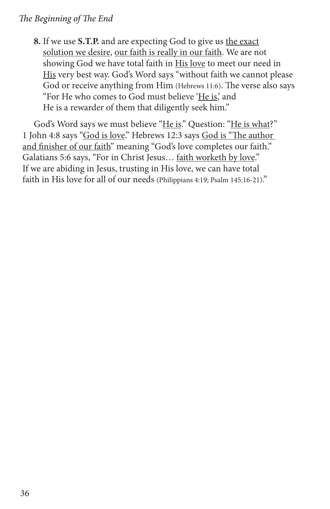**8.** If we use **S.T.P.** and are expecting God to give us the exact solution we desire, our faith is really in our faith. We are not showing God we have total faith in His love to meet our need in His very best way. God's Word says "without faith we cannot please God or receive anything from Him (Hebrews 11:6). The verse also says "For He who comes to God must believe 'He is,' and He is a rewarder of them that diligently seek him."

God's Word says we must believe "He is." Question: "He is what?" 1 John 4:8 says "God is love." Hebrews 12:3 says God is "The author and finisher of our faith" meaning "God's love completes our faith." Galatians 5:6 says, "For in Christ Jesus… faith worketh by love." If we are abiding in Jesus, trusting in His love, we can have total faith in His love for all of our needs (Philippians 4:19; Psalm 145:16-21)."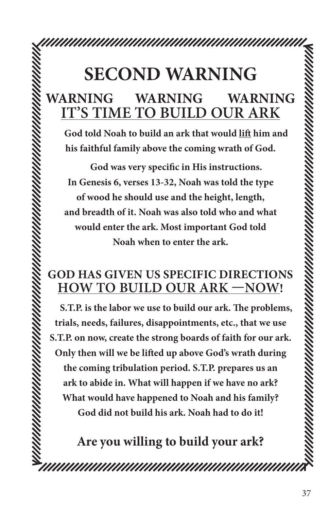## **SECOND WARNING WARNING WARNING WARNING IT'S TIME TO BUILD OUR ARK**

**God told Noah to build an ark that would lift him and his faithful family above the coming wrath of God.**

**God was very specific in His instructions. In Genesis 6, verses 13-32, Noah was told the type of wood he should use and the height, length, and breadth of it. Noah was also told who and what would enter the ark. Most important God told Noah when to enter the ark.**

## **GOD HAS GIVEN US SPECIFIC DIRECTIONS HOW TO BUILD OUR ARK —NOW!**

**S.T.P. is the labor we use to build our ark. The problems, trials, needs, failures, disappointments, etc., that we use S.T.P. on now, create the strong boards of faith for our ark. Only then will we be lifted up above God's wrath during the coming tribulation period. S.T.P. prepares us an ark to abide in. What will happen if we have no ark? What would have happened to Noah and his family? God did not build his ark. Noah had to do it!**

**Are you willing to build your ark?**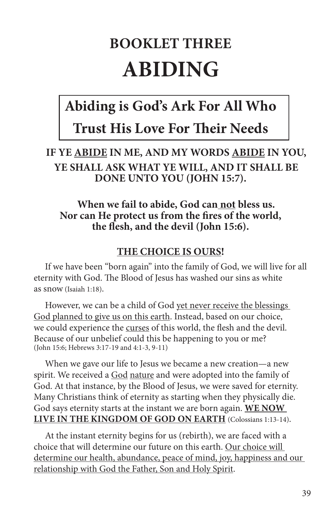# **BOOKLET THREE ABIDING**

## **Abiding is God's Ark For All Who Trust His Love For Their Needs**

## **IF YE ABIDE IN ME, AND MY WORDS ABIDE IN YOU, YE SHALL ASK WHAT YE WILL, AND IT SHALL BE DONE UNTO YOU (JOHN 15:7).**

## **When we fail to abide, God can not bless us. Nor can He protect us from the fires of the world, the flesh, and the devil (John 15:6).**

## **THE CHOICE IS OURS!**

If we have been "born again" into the family of God, we will live for all eternity with God. The Blood of Jesus has washed our sins as white as snow (Isaiah 1:18).

However, we can be a child of God yet never receive the blessings God planned to give us on this earth. Instead, based on our choice, we could experience the curses of this world, the flesh and the devil. Because of our unbelief could this be happening to you or me? (John 15:6; Hebrews 3:17-19 and 4:1-3, 9-11)

When we gave our life to Jesus we became a new creation—a new spirit. We received a God nature and were adopted into the family of God. At that instance, by the Blood of Jesus, we were saved for eternity. Many Christians think of eternity as starting when they physically die. God says eternity starts at the instant we are born again. **WE NOW LIVE IN THE KINGDOM OF GOD ON EARTH** (Colossians 1:13-14).

At the instant eternity begins for us (rebirth), we are faced with a choice that will determine our future on this earth. Our choice will determine our health, abundance, peace of mind, joy, happiness and our relationship with God the Father, Son and Holy Spirit.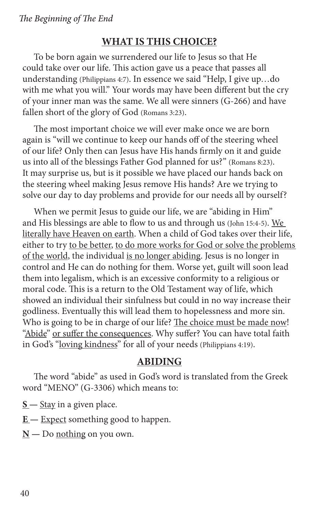## **WHAT IS THIS CHOICE?**

To be born again we surrendered our life to Jesus so that He could take over our life. This action gave us a peace that passes all understanding (Philippians 4:7). In essence we said "Help, I give up…do with me what you will." Your words may have been different but the cry of your inner man was the same. We all were sinners (G-266) and have fallen short of the glory of God (Romans 3:23).

The most important choice we will ever make once we are born again is "will we continue to keep our hands off of the steering wheel of our life? Only then can Jesus have His hands firmly on it and guide us into all of the blessings Father God planned for us?" (Romans 8:23). It may surprise us, but is it possible we have placed our hands back on the steering wheel making Jesus remove His hands? Are we trying to solve our day to day problems and provide for our needs all by ourself?

When we permit Jesus to guide our life, we are "abiding in Him" and His blessings are able to flow to us and through us (John 15:4-5). We literally have Heaven on earth. When a child of God takes over their life, either to try to be better, to do more works for God or solve the problems of the world, the individual is no longer abiding. Jesus is no longer in control and He can do nothing for them. Worse yet, guilt will soon lead them into legalism, which is an excessive conformity to a religious or moral code. This is a return to the Old Testament way of life, which showed an individual their sinfulness but could in no way increase their godliness. Eventually this will lead them to hopelessness and more sin. Who is going to be in charge of our life? The choice must be made now! "Abide" or suffer the consequences. Why suffer? You can have total faith in God's "loving kindness" for all of your needs (Philippians 4:19).

#### **ABIDING**

The word "abide" as used in God's word is translated from the Greek word "MENO" (G-3306) which means to:

**S —** Stay in a given place.

**E —** Expect something good to happen.

 $\underline{N}$  — Do <u>nothing</u> on you own.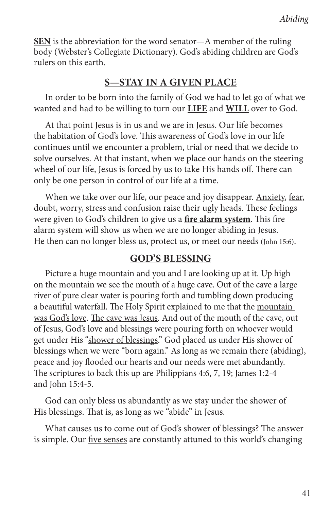**SEN** is the abbreviation for the word senator—A member of the ruling body (Webster's Collegiate Dictionary). God's abiding children are God's rulers on this earth.

## **S—STAY IN A GIVEN PLACE**

In order to be born into the family of God we had to let go of what we wanted and had to be willing to turn our **LIFE** and **WILL** over to God.

At that point Jesus is in us and we are in Jesus. Our life becomes the habitation of God's love. This awareness of God's love in our life continues until we encounter a problem, trial or need that we decide to solve ourselves. At that instant, when we place our hands on the steering wheel of our life, Jesus is forced by us to take His hands off. There can only be one person in control of our life at a time.

When we take over our life, our peace and joy disappear. Anxiety, fear, doubt, worry, stress and confusion raise their ugly heads. These feelings were given to God's children to give us a **fire alarm system**. This fire alarm system will show us when we are no longer abiding in Jesus. He then can no longer bless us, protect us, or meet our needs (John 15:6).

## **GOD'S BLESSING**

Picture a huge mountain and you and I are looking up at it. Up high on the mountain we see the mouth of a huge cave. Out of the cave a large river of pure clear water is pouring forth and tumbling down producing a beautiful waterfall. The Holy Spirit explained to me that the mountain was God's love. The cave was Jesus. And out of the mouth of the cave, out of Jesus, God's love and blessings were pouring forth on whoever would get under His "shower of blessings." God placed us under His shower of blessings when we were "born again." As long as we remain there (abiding), peace and joy flooded our hearts and our needs were met abundantly. The scriptures to back this up are Philippians 4:6, 7, 19; James 1:2-4 and John 15:4-5.

God can only bless us abundantly as we stay under the shower of His blessings. That is, as long as we "abide" in Jesus.

What causes us to come out of God's shower of blessings? The answer is simple. Our five senses are constantly attuned to this world's changing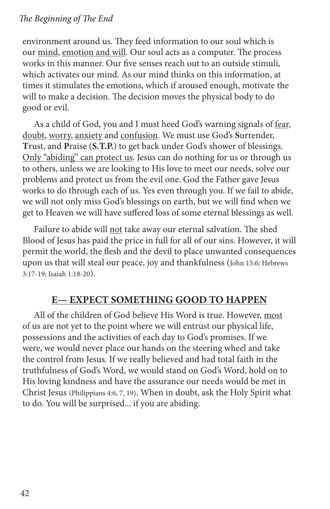environment around us. They feed information to our soul which is our mind, emotion and will. Our soul acts as a computer. The process works in this manner. Our five senses reach out to an outside stimuli, which activates our mind. As our mind thinks on this information, at times it stimulates the emotions, which if aroused enough, motivate the will to make a decision. The decision moves the physical body to do good or evil.

As a child of God, you and I must heed God's warning signals of fear, doubt, worry, anxiety and confusion. We must use God's **S**urrender, **T**rust, and **P**raise (**S.T.P.**) to get back under God's shower of blessings. Only "abiding" can protect us. Jesus can do nothing for us or through us to others, unless we are looking to His love to meet our needs, solve our problems and protect us from the evil one. God the Father gave Jesus works to do through each of us. Yes even through you. If we fail to abide, we will not only miss God's blessings on earth, but we will find when we get to Heaven we will have suffered loss of some eternal blessings as well.

Failure to abide will not take away our eternal salvation. The shed Blood of Jesus has paid the price in full for all of our sins. However, it will permit the world, the flesh and the devil to place unwanted consequences upon us that will steal our peace, joy and thankfulness (John 15:6; Hebrews 3:17-19; Isaiah 1:18-20).

## **E— EXPECT SOMETHING GOOD TO HAPPEN**

All of the children of God believe His Word is true. However, most of us are not yet to the point where we will entrust our physical life, possessions and the activities of each day to God's promises. If we were, we would never place our hands on the steering wheel and take the control from Jesus. If we really believed and had total faith in the truthfulness of God's Word, we would stand on God's Word, hold on to His loving kindness and have the assurance our needs would be met in Christ Jesus (Philippians 4:6, 7, 19). When in doubt, ask the Holy Spirit what to do. You will be surprised... if you are abiding.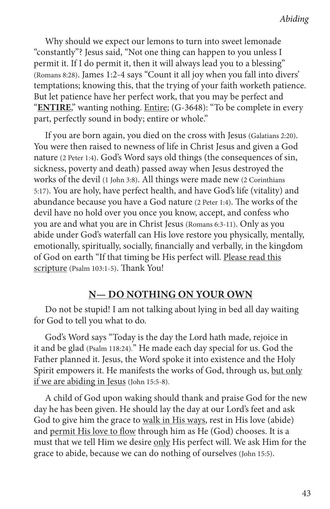Why should we expect our lemons to turn into sweet lemonade "constantly"? Jesus said, "Not one thing can happen to you unless I permit it. If I do permit it, then it will always lead you to a blessing" (Romans 8:28). James 1:2-4 says "Count it all joy when you fall into divers' temptations; knowing this, that the trying of your faith worketh patience. But let patience have her perfect work, that you may be perfect and "**ENTIRE**," wanting nothing. Entire; (G-3648): "To be complete in every part, perfectly sound in body; entire or whole."

If you are born again, you died on the cross with Jesus (Galatians 2:20). You were then raised to newness of life in Christ Jesus and given a God nature (2 Peter 1:4). God's Word says old things (the consequences of sin, sickness, poverty and death) passed away when Jesus destroyed the works of the devil (1 John 3:8). All things were made new (2 Corinthians 5:17). You are holy, have perfect health, and have God's life (vitality) and abundance because you have a God nature (2 Peter 1:4). The works of the devil have no hold over you once you know, accept, and confess who you are and what you are in Christ Jesus (Romans 6:3-11). Only as you abide under God's waterfall can His love restore you physically, mentally, emotionally, spiritually, socially, financially and verbally, in the kingdom of God on earth "If that timing be His perfect will. Please read this scripture (Psalm 103:1-5). Thank You!

## **N— DO NOTHING ON YOUR OWN**

Do not be stupid! I am not talking about lying in bed all day waiting for God to tell you what to do.

God's Word says "Today is the day the Lord hath made, rejoice in it and be glad (Psalm 118:24)." He made each day special for us. God the Father planned it. Jesus, the Word spoke it into existence and the Holy Spirit empowers it. He manifests the works of God, through us, but only if we are abiding in Jesus (John 15:5-8).

A child of God upon waking should thank and praise God for the new day he has been given. He should lay the day at our Lord's feet and ask God to give him the grace to walk in His ways, rest in His love (abide) and permit His love to flow through him as He (God) chooses. It is a must that we tell Him we desire only His perfect will. We ask Him for the grace to abide, because we can do nothing of ourselves (John 15:5).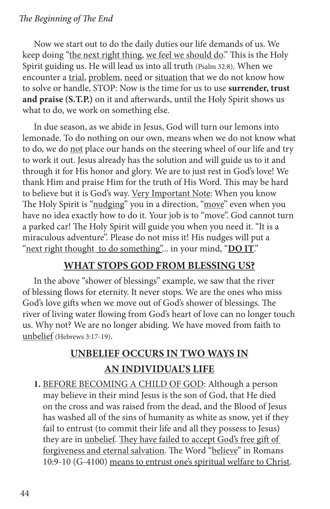Now we start out to do the daily duties our life demands of us. We keep doing "the next right thing, we feel we should do." This is the Holy Spirit guiding us. He will lead us into all truth (Psalm 32:8). When we encounter a trial, problem, need or situation that we do not know how to solve or handle, STOP: Now is the time for us to use **surrender, trust and praise (S.T.P.)** on it and afterwards, until the Holy Spirit shows us what to do, we work on something else.

In due season, as we abide in Jesus, God will turn our lemons into lemonade. To do nothing on our own, means when we do not know what to do, we do not place our hands on the steering wheel of our life and try to work it out. Jesus already has the solution and will guide us to it and through it for His honor and glory. We are to just rest in God's love! We thank Him and praise Him for the truth of His Word. This may be hard to believe but it is God's way. Very Important Note: When you know The Holy Spirit is "nudging" you in a direction, "move" even when you have no idea exactly how to do it. Your job is to "move". God cannot turn a parked car! The Holy Spirit will guide you when you need it. "It is a miraculous adventure". Please do not miss it! His nudges will put a "next right thought to do something"... in your mind, "**DO IT**."

## **WHAT STOPS GOD FROM BLESSING US?**

In the above "shower of blessings" example, we saw that the river of blessing flows for eternity. It never stops. We are the ones who miss God's love gifts when we move out of God's shower of blessings. The river of living water flowing from God's heart of love can no longer touch us. Why not? We are no longer abiding. We have moved from faith to unbelief (Hebrews 3:17-19).

## **UNBELIEF OCCURS IN TWO WAYS IN AN INDIVIDUAL'S LIFE**

**1.** BEFORE BECOMING A CHILD OF GOD: Although a person may believe in their mind Jesus is the son of God, that He died on the cross and was raised from the dead, and the Blood of Jesus has washed all of the sins of humanity as white as snow, yet if they fail to entrust (to commit their life and all they possess to Jesus) they are in unbelief. They have failed to accept God's free gift of forgiveness and eternal salvation. The Word "believe" in Romans 10:9-10 (G-4100) means to entrust one's spiritual welfare to Christ.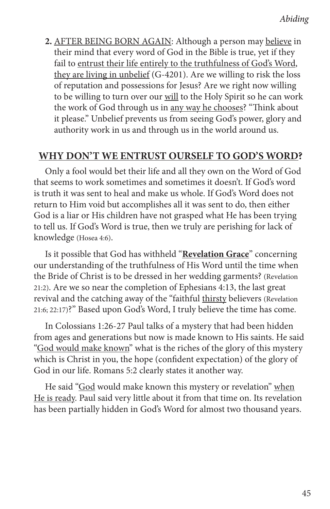**2.** AFTER BEING BORN AGAIN: Although a person may believe in their mind that every word of God in the Bible is true, yet if they fail to entrust their life entirely to the truthfulness of God's Word, they are living in unbelief (G-4201). Are we willing to risk the loss of reputation and possessions for Jesus? Are we right now willing to be willing to turn over our will to the Holy Spirit so he can work the work of God through us in any way he chooses? "Think about it please." Unbelief prevents us from seeing God's power, glory and authority work in us and through us in the world around us.

## **WHY DON'T WE ENTRUST OURSELF TO GOD'S WORD?**

Only a fool would bet their life and all they own on the Word of God that seems to work sometimes and sometimes it doesn't. If God's word is truth it was sent to heal and make us whole. If God's Word does not return to Him void but accomplishes all it was sent to do, then either God is a liar or His children have not grasped what He has been trying to tell us. If God's Word is true, then we truly are perishing for lack of knowledge (Hosea 4:6).

Is it possible that God has withheld "**Revelation Grace**" concerning our understanding of the truthfulness of His Word until the time when the Bride of Christ is to be dressed in her wedding garments? (Revelation 21:2). Are we so near the completion of Ephesians 4:13, the last great revival and the catching away of the "faithful thirsty believers (Revelation 21:6; 22:17)?" Based upon God's Word, I truly believe the time has come.

In Colossians 1:26-27 Paul talks of a mystery that had been hidden from ages and generations but now is made known to His saints. He said "God would make known" what is the riches of the glory of this mystery which is Christ in you, the hope (confident expectation) of the glory of God in our life. Romans 5:2 clearly states it another way.

He said "God would make known this mystery or revelation" when He is ready. Paul said very little about it from that time on. Its revelation has been partially hidden in God's Word for almost two thousand years.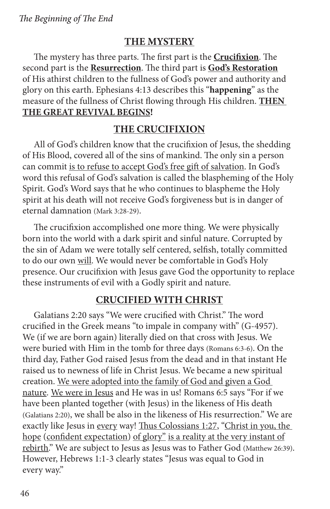## **THE MYSTERY**

The mystery has three parts. The first part is the **Crucifixion**. The second part is the **Resurrection**. The third part is **God's Restoration** of His athirst children to the fullness of God's power and authority and glory on this earth. Ephesians 4:13 describes this "**happening**" as the measure of the fullness of Christ flowing through His children. **THEN THE GREAT REVIVAL BEGINS!**

## **THE CRUCIFIXION**

All of God's children know that the crucifixion of Jesus, the shedding of His Blood, covered all of the sins of mankind. The only sin a person can commit is to refuse to accept God's free gift of salvation. In God's word this refusal of God's salvation is called the blaspheming of the Holy Spirit. God's Word says that he who continues to blaspheme the Holy spirit at his death will not receive God's forgiveness but is in danger of eternal damnation (Mark 3:28-29).

The crucifixion accomplished one more thing. We were physically born into the world with a dark spirit and sinful nature. Corrupted by the sin of Adam we were totally self centered, selfish, totally committed to do our own will. We would never be comfortable in God's Holy presence. Our crucifixion with Jesus gave God the opportunity to replace these instruments of evil with a Godly spirit and nature.

## **CRUCIFIED WITH CHRIST**

Galatians 2:20 says "We were crucified with Christ." The word crucified in the Greek means "to impale in company with" (G-4957). We (if we are born again) literally died on that cross with Jesus. We were buried with Him in the tomb for three days (Romans 6:3-6). On the third day, Father God raised Jesus from the dead and in that instant He raised us to newness of life in Christ Jesus. We became a new spiritual creation. We were adopted into the family of God and given a God nature. We were in Jesus and He was in us! Romans 6:5 says "For if we have been planted together (with Jesus) in the likeness of His death (Galatians 2:20), we shall be also in the likeness of His resurrection." We are exactly like Jesus in every way! Thus Colossians 1:27, "Christ in you, the hope (confident expectation) of glory" is a reality at the very instant of rebirth." We are subject to Jesus as Jesus was to Father God (Matthew 26:39). However, Hebrews 1:1-3 clearly states "Jesus was equal to God in every way."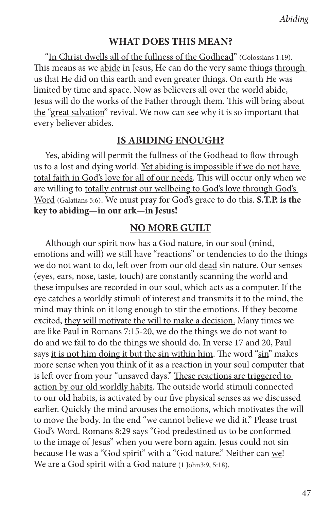#### **WHAT DOES THIS MEAN?**

"In Christ dwells all of the fullness of the Godhead" (Colossians 1:19). This means as we abide in Jesus, He can do the very same things through us that He did on this earth and even greater things. On earth He was limited by time and space. Now as believers all over the world abide, Jesus will do the works of the Father through them. This will bring about the "great salvation" revival. We now can see why it is so important that every believer abides.

#### **IS ABIDING ENOUGH?**

Yes, abiding will permit the fullness of the Godhead to flow through us to a lost and dying world. Yet abiding is impossible if we do not have total faith in God's love for all of our needs. This will occur only when we are willing to totally entrust our wellbeing to God's love through God's Word (Galatians 5:6). We must pray for God's grace to do this. **S.T.P. is the key to abiding—in our ark—in Jesus!**

#### **NO MORE GUILT**

Although our spirit now has a God nature, in our soul (mind, emotions and will) we still have "reactions" or tendencies to do the things we do not want to do, left over from our old dead sin nature. Our senses (eyes, ears, nose, taste, touch) are constantly scanning the world and these impulses are recorded in our soul, which acts as a computer. If the eye catches a worldly stimuli of interest and transmits it to the mind, the mind may think on it long enough to stir the emotions. If they become excited, they will motivate the will to make a decision. Many times we are like Paul in Romans 7:15-20, we do the things we do not want to do and we fail to do the things we should do. In verse 17 and 20, Paul says it is not him doing it but the sin within him. The word "sin" makes more sense when you think of it as a reaction in your soul computer that is left over from your "unsaved days." These reactions are triggered to action by our old worldly habits. The outside world stimuli connected to our old habits, is activated by our five physical senses as we discussed earlier. Quickly the mind arouses the emotions, which motivates the will to move the body. In the end "we cannot believe we did it." Please trust God's Word. Romans 8:29 says "God predestined us to be conformed to the image of Jesus" when you were born again. Jesus could not sin because He was a "God spirit" with a "God nature." Neither can we! We are a God spirit with a God nature (1 John3:9, 5:18).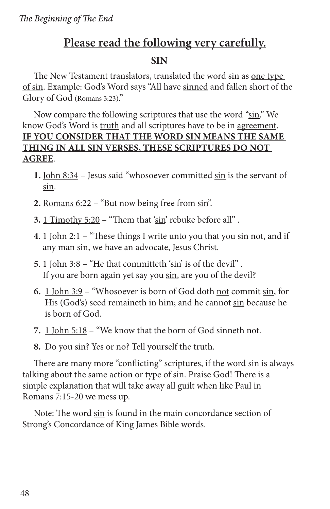## **Please read the following very carefully.**

## **SIN**

The New Testament translators, translated the word sin as one type of sin. Example: God's Word says "All have sinned and fallen short of the Glory of God (Romans 3:23)."

Now compare the following scriptures that use the word "sin." We know God's Word is truth and all scriptures have to be in agreement. **IF YOU CONSIDER THAT THE WORD SIN MEANS THE SAME THING IN ALL SIN VERSES, THESE SCRIPTURES DO NOT AGREE**.

- **1.** John 8:34 Jesus said "whosoever committed sin is the servant of sin.
- **2.** Romans 6:22 "But now being free from sin".
- **3.** 1 Timothy 5:20 "Them that 'sin' rebuke before all" .
- **4**. 1 John 2:1 "These things I write unto you that you sin not, and if any man sin, we have an advocate, Jesus Christ.
- **5**. 1 John 3:8 "He that committeth 'sin' is of the devil" . If you are born again yet say you sin, are you of the devil?
- **6.** 1 John 3:9 "Whosoever is born of God doth not commit sin, for His (God's) seed remaineth in him; and he cannot sin because he is born of God.
- **7.** 1 John 5:18 "We know that the born of God sinneth not.
- **8.** Do you sin? Yes or no? Tell yourself the truth.

There are many more "conflicting" scriptures, if the word sin is always talking about the same action or type of sin. Praise God! There is a simple explanation that will take away all guilt when like Paul in Romans 7:15-20 we mess up.

Note: The word sin is found in the main concordance section of Strong's Concordance of King James Bible words.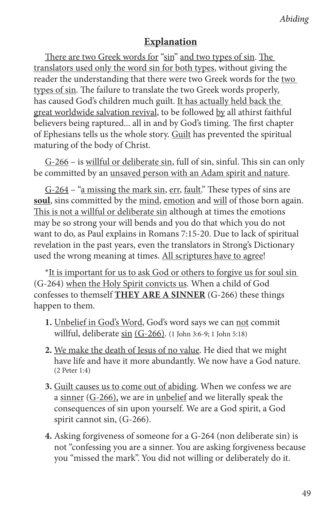## **Explanation**

There are two Greek words for "sin" and two types of sin. The translators used only the word sin for both types, without giving the reader the understanding that there were two Greek words for the two types of sin. The failure to translate the two Greek words properly, has caused God's children much guilt. It has actually held back the great worldwide salvation revival, to be followed by all athirst faithful believers being raptured... all in and by God's timing. The first chapter of Ephesians tells us the whole story. Guilt has prevented the spiritual maturing of the body of Christ.

G-266 – is willful or deliberate sin, full of sin, sinful. This sin can only be committed by an unsaved person with an Adam spirit and nature.

G-264 – "a missing the mark sin, err, fault." These types of sins are soul, sins committed by the mind, emotion and will of those born again. This is not a willful or deliberate sin although at times the emotions may be so strong your will bends and you do that which you do not want to do, as Paul explains in Romans 7:15-20. Due to lack of spiritual revelation in the past years, even the translators in Strong's Dictionary used the wrong meaning at times. All scriptures have to agree!

\*It is important for us to ask God or others to forgive us for soul sin (G-264) when the Holy Spirit convicts us. When a child of God confesses to themself **THEY ARE A SINNER** (G-266) these things happen to them.

- **1.** Unbelief in God's Word, God's word says we can not commit willful, deliberate sin (G-266). (1 John 3:6-9; 1 John 5:18)
- **2.** We make the death of Jesus of no value. He died that we might have life and have it more abundantly. We now have a God nature. (2 Peter 1:4)
- **3.** Guilt causes us to come out of abiding. When we confess we are a sinner (G-266), we are in unbelief and we literally speak the consequences of sin upon yourself. We are a God spirit, a God spirit cannot sin, (G-266).
- **4.** Asking forgiveness of someone for a G-264 (non deliberate sin) is not "confessing you are a sinner. You are asking forgiveness because you "missed the mark". You did not willing or deliberately do it.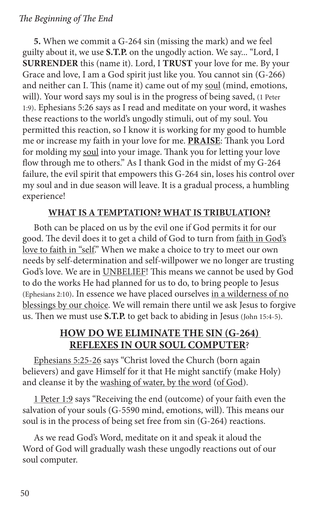**5.** When we commit a G-264 sin (missing the mark) and we feel guilty about it, we use **S.T.P.** on the ungodly action. We say... "Lord, I **SURRENDER** this (name it). Lord, I **TRUST** your love for me. By your Grace and love, I am a God spirit just like you. You cannot sin (G-266) and neither can I. This (name it) came out of my soul (mind, emotions, will). Your word says my soul is in the progress of being saved, (1 Peter 1:9). Ephesians 5:26 says as I read and meditate on your word, it washes these reactions to the world's ungodly stimuli, out of my soul. You permitted this reaction, so I know it is working for my good to humble me or increase my faith in your love for me. **PRAISE**: Thank you Lord for molding my soul into your image. Thank you for letting your love flow through me to others." As I thank God in the midst of my G-264 failure, the evil spirit that empowers this G-264 sin, loses his control over my soul and in due season will leave. It is a gradual process, a humbling experience!

## **WHAT IS A TEMPTATION? WHAT IS TRIBULATION?**

Both can be placed on us by the evil one if God permits it for our good. The devil does it to get a child of God to turn from faith in God's love to faith in "self." When we make a choice to try to meet our own needs by self-determination and self-willpower we no longer are trusting God's love. We are in UNBELIEF! This means we cannot be used by God to do the works He had planned for us to do, to bring people to Jesus (Ephesians 2:10). In essence we have placed ourselves in a wilderness of no blessings by our choice. We will remain there until we ask Jesus to forgive us. Then we must use **S.T.P.** to get back to abiding in Jesus (John 15:4-5).

## **HOW DO WE ELIMINATE THE SIN (G-264) REFLEXES IN OUR SOUL COMPUTER**?

Ephesians 5:25-26 says "Christ loved the Church (born again believers) and gave Himself for it that He might sanctify (make Holy) and cleanse it by the washing of water, by the word (of God).

1 Peter 1:9 says "Receiving the end (outcome) of your faith even the salvation of your souls (G-5590 mind, emotions, will). This means our soul is in the process of being set free from sin (G-264) reactions.

As we read God's Word, meditate on it and speak it aloud the Word of God will gradually wash these ungodly reactions out of our soul computer.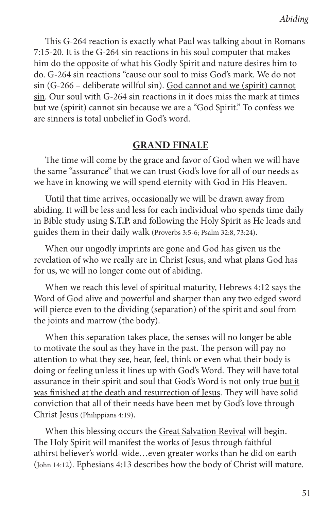This G-264 reaction is exactly what Paul was talking about in Romans 7:15-20. It is the G-264 sin reactions in his soul computer that makes him do the opposite of what his Godly Spirit and nature desires him to do. G-264 sin reactions "cause our soul to miss God's mark. We do not sin (G-266 – deliberate willful sin). God cannot and we (spirit) cannot sin. Our soul with G-264 sin reactions in it does miss the mark at times but we (spirit) cannot sin because we are a "God Spirit." To confess we are sinners is total unbelief in God's word.

## **GRAND FINALE**

The time will come by the grace and favor of God when we will have the same "assurance" that we can trust God's love for all of our needs as we have in knowing we will spend eternity with God in His Heaven.

Until that time arrives, occasionally we will be drawn away from abiding. It will be less and less for each individual who spends time daily in Bible study using **S.T.P.** and following the Holy Spirit as He leads and guides them in their daily walk (Proverbs 3:5-6; Psalm 32:8, 73:24).

When our ungodly imprints are gone and God has given us the revelation of who we really are in Christ Jesus, and what plans God has for us, we will no longer come out of abiding.

When we reach this level of spiritual maturity, Hebrews 4:12 says the Word of God alive and powerful and sharper than any two edged sword will pierce even to the dividing (separation) of the spirit and soul from the joints and marrow (the body).

When this separation takes place, the senses will no longer be able to motivate the soul as they have in the past. The person will pay no attention to what they see, hear, feel, think or even what their body is doing or feeling unless it lines up with God's Word. They will have total assurance in their spirit and soul that God's Word is not only true but it was finished at the death and resurrection of Jesus. They will have solid conviction that all of their needs have been met by God's love through Christ Jesus (Philippians 4:19).

When this blessing occurs the Great Salvation Revival will begin. The Holy Spirit will manifest the works of Jesus through faithful athirst believer's world-wide…even greater works than he did on earth (John 14:12). Ephesians 4:13 describes how the body of Christ will mature.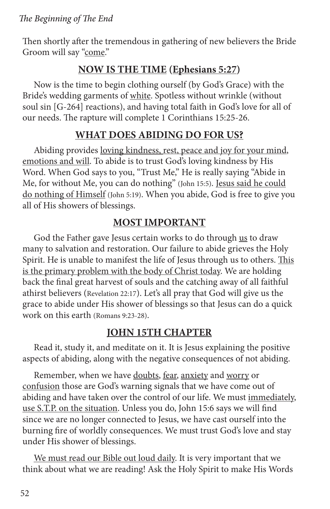Then shortly after the tremendous in gathering of new believers the Bride Groom will say "come."

## **NOW IS THE TIME (Ephesians 5:27)**

Now is the time to begin clothing ourself (by God's Grace) with the Bride's wedding garments of white. Spotless without wrinkle (without soul sin [G-264] reactions), and having total faith in God's love for all of our needs. The rapture will complete 1 Corinthians 15:25-26.

## **WHAT DOES ABIDING DO FOR US?**

Abiding provides loving kindness, rest, peace and joy for your mind, emotions and will. To abide is to trust God's loving kindness by His Word. When God says to you, "Trust Me," He is really saying "Abide in Me, for without Me, you can do nothing" (John 15:5). Jesus said he could do nothing of Himself (John 5:19). When you abide, God is free to give you all of His showers of blessings.

## **MOST IMPORTANT**

God the Father gave Jesus certain works to do through us to draw many to salvation and restoration. Our failure to abide grieves the Holy Spirit. He is unable to manifest the life of Jesus through us to others. This is the primary problem with the body of Christ today. We are holding back the final great harvest of souls and the catching away of all faithful athirst believers (Revelation 22:17). Let's all pray that God will give us the grace to abide under His shower of blessings so that Jesus can do a quick work on this earth (Romans 9:23-28).

## **JOHN 15TH CHAPTER**

Read it, study it, and meditate on it. It is Jesus explaining the positive aspects of abiding, along with the negative consequences of not abiding.

Remember, when we have doubts, fear, anxiety and worry or confusion those are God's warning signals that we have come out of abiding and have taken over the control of our life. We must immediately, use S.T.P. on the situation. Unless you do, John 15:6 says we will find since we are no longer connected to Jesus, we have cast ourself into the burning fire of worldly consequences. We must trust God's love and stay under His shower of blessings.

We must read our Bible out loud daily. It is very important that we think about what we are reading! Ask the Holy Spirit to make His Words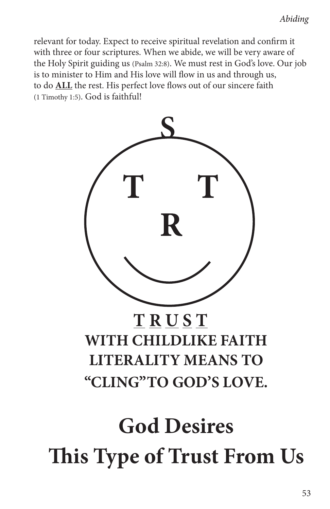relevant for today. Expect to receive spiritual revelation and confirm it with three or four scriptures. When we abide, we will be very aware of the Holy Spirit guiding us (Psalm 32:8). We must rest in God's love. Our job is to minister to Him and His love will flow in us and through us, to do **ALL** the rest. His perfect love flows out of our sincere faith (1 Timothy 1:5). God is faithful!



# **This Type of Trust From Us**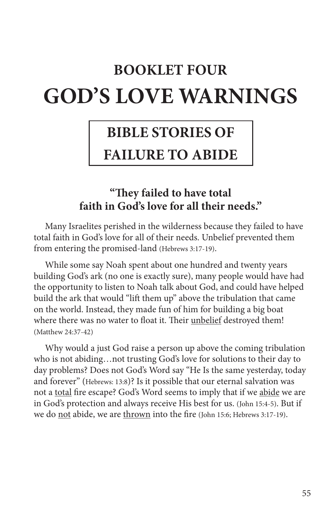# **BOOKLET FOUR GOD'S LOVE WARNINGS**

## **BIBLE STORIES OF**

## **FAILURE TO ABIDE**

## **"They failed to have total faith in God's love for all their needs."**

Many Israelites perished in the wilderness because they failed to have total faith in God's love for all of their needs. Unbelief prevented them from entering the promised-land (Hebrews 3:17-19).

While some say Noah spent about one hundred and twenty years building God's ark (no one is exactly sure), many people would have had the opportunity to listen to Noah talk about God, and could have helped build the ark that would "lift them up" above the tribulation that came on the world. Instead, they made fun of him for building a big boat where there was no water to float it. Their unbelief destroyed them! (Matthew 24:37-42)

Why would a just God raise a person up above the coming tribulation who is not abiding…not trusting God's love for solutions to their day to day problems? Does not God's Word say "He Is the same yesterday, today and forever" (Hebrews: 13:8)? Is it possible that our eternal salvation was not a total fire escape? God's Word seems to imply that if we abide we are in God's protection and always receive His best for us. (John 15:4-5). But if we do not abide, we are thrown into the fire (John 15:6; Hebrews 3:17-19).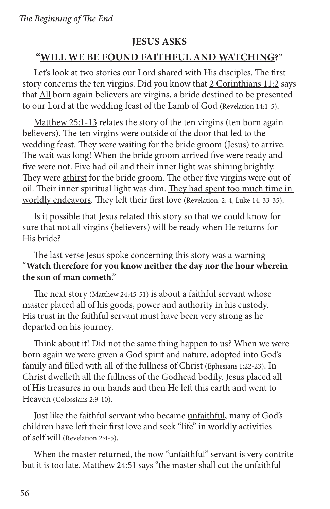## **JESUS ASKS**

## **"WILL WE BE FOUND FAITHFUL AND WATCHING?"**

Let's look at two stories our Lord shared with His disciples. The first story concerns the ten virgins. Did you know that 2 Corinthians 11:2 says that All born again believers are virgins, a bride destined to be presented to our Lord at the wedding feast of the Lamb of God (Revelation 14:1-5).

Matthew 25:1-13 relates the story of the ten virgins (ten born again believers). The ten virgins were outside of the door that led to the wedding feast. They were waiting for the bride groom (Jesus) to arrive. The wait was long! When the bride groom arrived five were ready and five were not. Five had oil and their inner light was shining brightly. They were athirst for the bride groom. The other five virgins were out of oil. Their inner spiritual light was dim. They had spent too much time in worldly endeavors. They left their first love (Revelation. 2: 4, Luke 14: 33-35).

Is it possible that Jesus related this story so that we could know for sure that not all virgins (believers) will be ready when He returns for His bride?

## The last verse Jesus spoke concerning this story was a warning "**Watch therefore for you know neither the day nor the hour wherein the son of man cometh**."

The next story (Matthew 24:45-51) is about a <u>faithful</u> servant whose master placed all of his goods, power and authority in his custody. His trust in the faithful servant must have been very strong as he departed on his journey.

Think about it! Did not the same thing happen to us? When we were born again we were given a God spirit and nature, adopted into God's family and filled with all of the fullness of Christ (Ephesians 1:22-23). In Christ dwelleth all the fullness of the Godhead bodily. Jesus placed all of His treasures in our hands and then He left this earth and went to Heaven (Colossians 2:9-10).

Just like the faithful servant who became unfaithful, many of God's children have left their first love and seek "life" in worldly activities of self will (Revelation 2:4-5).

When the master returned, the now "unfaithful" servant is very contrite but it is too late. Matthew 24:51 says "the master shall cut the unfaithful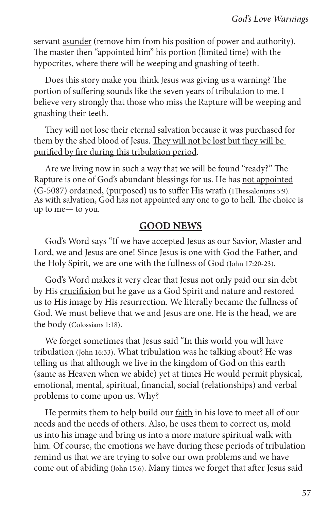servant asunder (remove him from his position of power and authority). The master then "appointed him" his portion (limited time) with the hypocrites, where there will be weeping and gnashing of teeth.

Does this story make you think Jesus was giving us a warning? The portion of suffering sounds like the seven years of tribulation to me. I believe very strongly that those who miss the Rapture will be weeping and gnashing their teeth.

They will not lose their eternal salvation because it was purchased for them by the shed blood of Jesus. They will not be lost but they will be purified by fire during this tribulation period.

Are we living now in such a way that we will be found "ready?" The Rapture is one of God's abundant blessings for us. He has not appointed (G-5087) ordained, (purposed) us to suffer His wrath (1Thessalonians 5:9). As with salvation, God has not appointed any one to go to hell. The choice is up to me— to you.

## **GOOD NEWS**

God's Word says "If we have accepted Jesus as our Savior, Master and Lord, we and Jesus are one! Since Jesus is one with God the Father, and the Holy Spirit, we are one with the fullness of God (John 17:20-23).

God's Word makes it very clear that Jesus not only paid our sin debt by His crucifixion but he gave us a God Spirit and nature and restored us to His image by His resurrection. We literally became the fullness of God. We must believe that we and Jesus are one. He is the head, we are the body (Colossians 1:18).

We forget sometimes that Jesus said "In this world you will have tribulation (John 16:33). What tribulation was he talking about? He was telling us that although we live in the kingdom of God on this earth (same as Heaven when we abide) yet at times He would permit physical, emotional, mental, spiritual, financial, social (relationships) and verbal problems to come upon us. Why?

He permits them to help build our faith in his love to meet all of our needs and the needs of others. Also, he uses them to correct us, mold us into his image and bring us into a more mature spiritual walk with him. Of course, the emotions we have during these periods of tribulation remind us that we are trying to solve our own problems and we have come out of abiding (John 15:6). Many times we forget that after Jesus said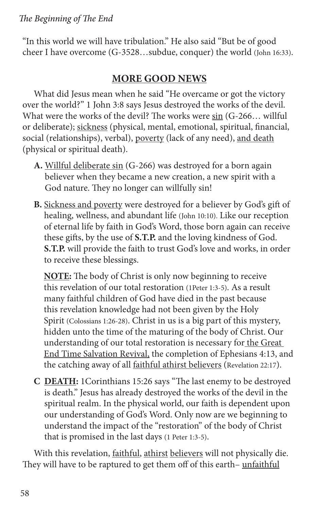"In this world we will have tribulation." He also said "But be of good cheer I have overcome (G-3528…subdue, conquer) the world (John 16:33).

## **MORE GOOD NEWS**

What did Jesus mean when he said "He overcame or got the victory over the world?" 1 John 3:8 says Jesus destroyed the works of the devil. What were the works of the devil? The works were sin (G-266... willful or deliberate); sickness (physical, mental, emotional, spiritual, financial, social (relationships), verbal), poverty (lack of any need), and death (physical or spiritual death).

- **A.** Willful deliberate sin (G-266) was destroyed for a born again believer when they became a new creation, a new spirit with a God nature. They no longer can willfully sin!
- **B.** Sickness and poverty were destroyed for a believer by God's gift of healing, wellness, and abundant life (John 10:10). Like our reception of eternal life by faith in God's Word, those born again can receive these gifts, by the use of **S.T.P.** and the loving kindness of God. **S.T.P.** will provide the faith to trust God's love and works, in order to receive these blessings.

 **NOTE:** The body of Christ is only now beginning to receive this revelation of our total restoration (1Peter 1:3-5). As a result many faithful children of God have died in the past because this revelation knowledge had not been given by the Holy Spirit (Colossians 1:26-28). Christ in us is a big part of this mystery, hidden unto the time of the maturing of the body of Christ. Our understanding of our total restoration is necessary for the Great End Time Salvation Revival, the completion of Ephesians 4:13, and the catching away of all faithful athirst believers (Revelation 22:17).

**C DEATH:** 1Corinthians 15:26 says "The last enemy to be destroyed is death." Jesus has already destroyed the works of the devil in the spiritual realm. In the physical world, our faith is dependent upon our understanding of God's Word. Only now are we beginning to understand the impact of the "restoration" of the body of Christ that is promised in the last days (1 Peter 1:3-5).

With this revelation, faithful, athirst believers will not physically die. They will have to be raptured to get them off of this earth-unfaithful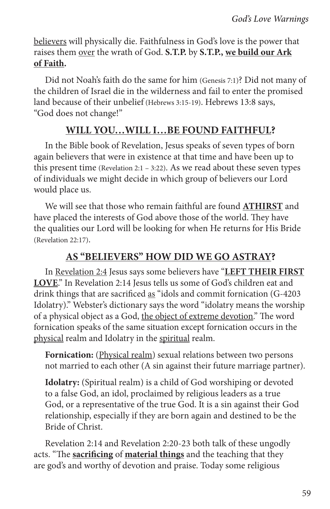believers will physically die. Faithfulness in God's love is the power that raises them over the wrath of God. **S.T.P.** by **S.T.P., we build our Ark of Faith.**

Did not Noah's faith do the same for him (Genesis 7:1)? Did not many of the children of Israel die in the wilderness and fail to enter the promised land because of their unbelief (Hebrews 3:15-19). Hebrews 13:8 says, "God does not change!"

## **WILL YOU…WILL I…BE FOUND FAITHFUL?**

In the Bible book of Revelation, Jesus speaks of seven types of born again believers that were in existence at that time and have been up to this present time (Revelation 2:1 – 3:22). As we read about these seven types of individuals we might decide in which group of believers our Lord would place us.

We will see that those who remain faithful are found **ATHIRST** and have placed the interests of God above those of the world. They have the qualities our Lord will be looking for when He returns for His Bride (Revelation 22:17).

## **AS "BELIEVERS" HOW DID WE GO ASTRAY?**

In Revelation 2:4 Jesus says some believers have "**LEFT THEIR FIRST LOVE**." In Revelation 2:14 Jesus tells us some of God's children eat and drink things that are sacrificed as "idols and commit fornication (G-4203 Idolatry)." Webster's dictionary says the word "idolatry means the worship of a physical object as a God, the object of extreme devotion." The word fornication speaks of the same situation except fornication occurs in the physical realm and Idolatry in the spiritual realm.

**Fornication:** (Physical realm) sexual relations between two persons not married to each other (A sin against their future marriage partner).

**Idolatry:** (Spiritual realm) is a child of God worshiping or devoted to a false God, an idol, proclaimed by religious leaders as a true God, or a representative of the true God. It is a sin against their God relationship, especially if they are born again and destined to be the Bride of Christ.

Revelation 2:14 and Revelation 2:20-23 both talk of these ungodly acts. "The **sacrificing** of **material things** and the teaching that they are god's and worthy of devotion and praise. Today some religious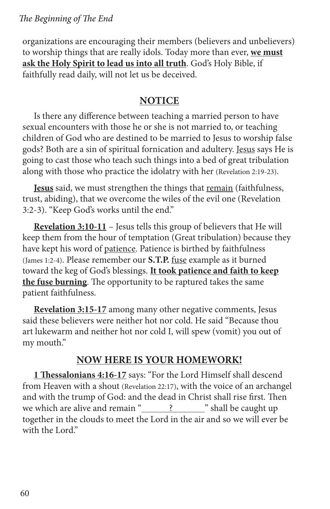organizations are encouraging their members (believers and unbelievers) to worship things that are really idols. Today more than ever, **we must ask the Holy Spirit to lead us into all truth**. God's Holy Bible, if faithfully read daily, will not let us be deceived.

## **NOTICE**

Is there any difference between teaching a married person to have sexual encounters with those he or she is not married to, or teaching children of God who are destined to be married to Jesus to worship false gods? Both are a sin of spiritual fornication and adultery. Jesus says He is going to cast those who teach such things into a bed of great tribulation along with those who practice the idolatry with her (Revelation 2:19-23).

**Jesus** said, we must strengthen the things that remain (faithfulness, trust, abiding), that we overcome the wiles of the evil one (Revelation 3:2-3). "Keep God's works until the end."

**Revelation 3:10-11** – Jesus tells this group of believers that He will keep them from the hour of temptation (Great tribulation) because they have kept his word of patience. Patience is birthed by faithfulness (James 1:2-4). Please remember our **S.T.P.** fuse example as it burned toward the keg of God's blessings. **It took patience and faith to keep the fuse burning**. The opportunity to be raptured takes the same patient faithfulness.

**Revelation 3:15-17** among many other negative comments, Jesus said these believers were neither hot nor cold. He said "Because thou art lukewarm and neither hot nor cold I, will spew (vomit) you out of my mouth."

## **NOW HERE IS YOUR HOMEWORK!**

**1 Thessalonians 4:16-17** says: "For the Lord Himself shall descend from Heaven with a shout (Revelation 22:17), with the voice of an archangel and with the trump of God: and the dead in Christ shall rise first. Then we which are alive and remain " ? " " shall be caught up together in the clouds to meet the Lord in the air and so we will ever be with the Lord."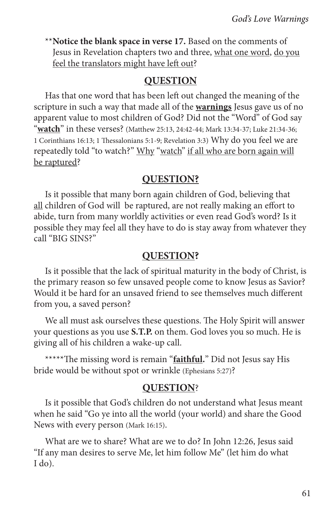\*\***Notice the blank space in verse 17.** Based on the comments of Jesus in Revelation chapters two and three, what one word, do you feel the translators might have left out?

## **QUESTION**

Has that one word that has been left out changed the meaning of the scripture in such a way that made all of the **warnings** Jesus gave us of no apparent value to most children of God? Did not the "Word" of God say "**watch**" in these verses? (Matthew 25:13, 24:42-44; Mark 13:34-37; Luke 21:34-36; 1 Corinthians 16:13; 1 Thessalonians 5:1-9; Revelation 3:3) Why do you feel we are repeatedly told "to watch?" Why "watch" if all who are born again will be raptured?

## **QUESTION?**

Is it possible that many born again children of God, believing that all children of God will be raptured, are not really making an effort to abide, turn from many worldly activities or even read God's word? Is it possible they may feel all they have to do is stay away from whatever they call "BIG SINS?"

## **QUESTION?**

Is it possible that the lack of spiritual maturity in the body of Christ, is the primary reason so few unsaved people come to know Jesus as Savior? Would it be hard for an unsaved friend to see themselves much different from you, a saved person?

We all must ask ourselves these questions. The Holy Spirit will answer your questions as you use **S.T.P.** on them. God loves you so much. He is giving all of his children a wake-up call.

\*\*\*\*\*The missing word is remain "**faithful.**" Did not Jesus say His bride would be without spot or wrinkle (Ephesians 5:27)?

## **QUESTION**?

Is it possible that God's children do not understand what Jesus meant when he said "Go ye into all the world (your world) and share the Good News with every person (Mark 16:15).

What are we to share? What are we to do? In John 12:26, Jesus said "If any man desires to serve Me, let him follow Me" (let him do what I do).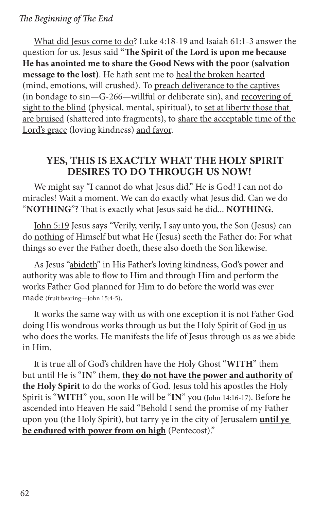What did Jesus come to do? Luke 4:18-19 and Isaiah 61:1-3 answer the question for us. Jesus said **"The Spirit of the Lord is upon me because He has anointed me to share the Good News with the poor (salvation message to the lost)**. He hath sent me to heal the broken hearted (mind, emotions, will crushed). To preach deliverance to the captives (in bondage to sin—G-266—willful or deliberate sin), and recovering of sight to the blind (physical, mental, spiritual), to set at liberty those that are bruised (shattered into fragments), to share the acceptable time of the Lord's grace (loving kindness) and favor.

## **YES, THIS IS EXACTLY WHAT THE HOLY SPIRIT DESIRES TO DO THROUGH US NOW!**

We might say "I cannot do what Jesus did." He is God! I can not do miracles! Wait a moment. We can do exactly what Jesus did. Can we do "**NOTHING**"? That is exactly what Jesus said he did... **NOTHING.**

John 5:19 Jesus says "Verily, verily, I say unto you, the Son (Jesus) can do nothing of Himself but what He (Jesus) seeth the Father do: For what things so ever the Father doeth, these also doeth the Son likewise.

As Jesus "abideth" in His Father's loving kindness, God's power and authority was able to flow to Him and through Him and perform the works Father God planned for Him to do before the world was ever made (fruit bearing—John 15:4-5).

It works the same way with us with one exception it is not Father God doing His wondrous works through us but the Holy Spirit of God in us who does the works. He manifests the life of Jesus through us as we abide in Him.

It is true all of God's children have the Holy Ghost "**WITH**" them but until He is "**IN**" them, **they do not have the power and authority of the Holy Spirit** to do the works of God. Jesus told his apostles the Holy Spirit is "**WITH**" you, soon He will be "**IN**" you (John 14:16-17). Before he ascended into Heaven He said "Behold I send the promise of my Father upon you (the Holy Spirit), but tarry ye in the city of Jerusalem **until ye be endured with power from on high** (Pentecost)."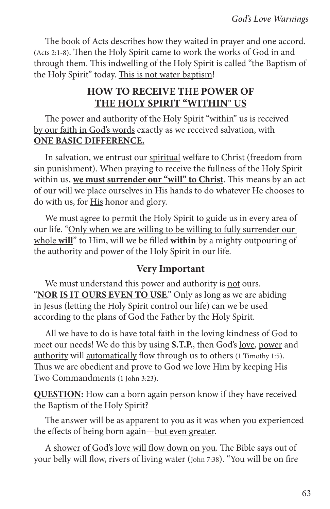The book of Acts describes how they waited in prayer and one accord. (Acts 2:1-8). Then the Holy Spirit came to work the works of God in and through them. This indwelling of the Holy Spirit is called "the Baptism of the Holy Spirit" today. This is not water baptism!

## **HOW TO RECEIVE THE POWER OF THE HOLY SPIRIT "WITHIN**" **US**

The power and authority of the Holy Spirit "within" us is received by our faith in God's words exactly as we received salvation, with **ONE BASIC DIFFERENCE.**

In salvation, we entrust our spiritual welfare to Christ (freedom from sin punishment). When praying to receive the fullness of the Holy Spirit within us, **we must surrender our "will" to Christ**. This means by an act of our will we place ourselves in His hands to do whatever He chooses to do with us, for His honor and glory.

We must agree to permit the Holy Spirit to guide us in every area of our life. "Only when we are willing to be willing to fully surrender our whole **will**" to Him, will we be filled **within** by a mighty outpouring of the authority and power of the Holy Spirit in our life.

## **Very Important**

We must understand this power and authority is not ours. "**NOR IS IT OURS EVEN TO USE**." Only as long as we are abiding in Jesus (letting the Holy Spirit control our life) can we be used according to the plans of God the Father by the Holy Spirit.

All we have to do is have total faith in the loving kindness of God to meet our needs! We do this by using **S.T.P.**, then God's love, power and authority will automatically flow through us to others (1 Timothy 1:5). Thus we are obedient and prove to God we love Him by keeping His Two Commandments (1 John 3:23).

**QUESTION:** How can a born again person know if they have received the Baptism of the Holy Spirit?

The answer will be as apparent to you as it was when you experienced the effects of being born again—but even greater.

A shower of God's love will flow down on you. The Bible says out of your belly will flow, rivers of living water (John 7:38). "You will be on fire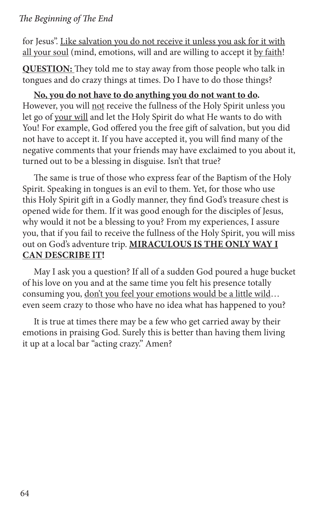for Jesus". Like salvation you do not receive it unless you ask for it with all your soul (mind, emotions, will and are willing to accept it by faith!

**QUESTION:** They told me to stay away from those people who talk in tongues and do crazy things at times. Do I have to do those things?

**No, you do not have to do anything you do not want to do.** However, you will not receive the fullness of the Holy Spirit unless you let go of your will and let the Holy Spirit do what He wants to do with You! For example, God offered you the free gift of salvation, but you did not have to accept it. If you have accepted it, you will find many of the negative comments that your friends may have exclaimed to you about it, turned out to be a blessing in disguise. Isn't that true?

The same is true of those who express fear of the Baptism of the Holy Spirit. Speaking in tongues is an evil to them. Yet, for those who use this Holy Spirit gift in a Godly manner, they find God's treasure chest is opened wide for them. If it was good enough for the disciples of Jesus, why would it not be a blessing to you? From my experiences, I assure you, that if you fail to receive the fullness of the Holy Spirit, you will miss out on God's adventure trip. **MIRACULOUS IS THE ONLY WAY I CAN DESCRIBE IT!**

May I ask you a question? If all of a sudden God poured a huge bucket of his love on you and at the same time you felt his presence totally consuming you, don't you feel your emotions would be a little wild… even seem crazy to those who have no idea what has happened to you?

It is true at times there may be a few who get carried away by their emotions in praising God. Surely this is better than having them living it up at a local bar "acting crazy." Amen?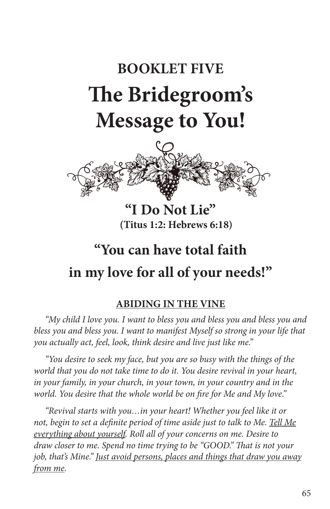# **BOOKLET FIVE The Bridegroom's Message to You!**



**"I Do Not Lie" (Titus 1:2: Hebrews 6:18)**

## **"You can have total faith in my love for all of your needs!"**

## **ABIDING IN THE VINE**

*"My child I love you. I want to bless you and bless you and bless you and bless you and bless you. I want to manifest Myself so strong in your life that you actually act, feel, look, think desire and live just like me."*

*"You desire to seek my face, but you are so busy with the things of the world that you do not take time to do it. You desire revival in your heart, in your family, in your church, in your town, in your country and in the world. You desire that the whole world be on fire for Me and My love."*

*"Revival starts with you…in your heart! Whether you feel like it or not, begin to set a definite period of time aside just to talk to Me. Tell Me everything about yourself. Roll all of your concerns on me. Desire to draw closer to me. Spend no time trying to be "GOOD." That is not your job, that's Mine." Just avoid persons, places and things that draw you away from me.*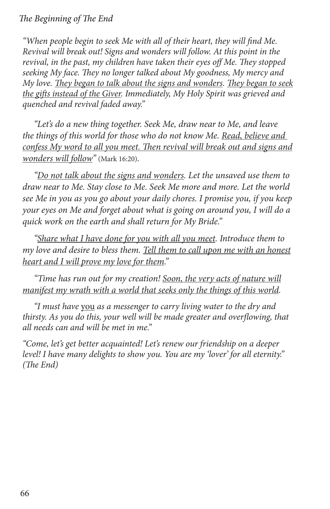*"When people begin to seek Me with all of their heart, they will find Me. Revival will break out! Signs and wonders will follow. At this point in the revival, in the past, my children have taken their eyes off Me. They stopped seeking My face. They no longer talked about My goodness, My mercy and My love. They began to talk about the signs and wonders. They began to seek the gifts instead of the Giver. Immediately, My Holy Spirit was grieved and quenched and revival faded away."*

*"Let's do a new thing together. Seek Me, draw near to Me, and leave the things of this world for those who do not know Me. Read, believe and confess My word to all you meet. Then revival will break out and signs and wonders will follow"* (Mark 16:20)*.*

*"Do not talk about the signs and wonders. Let the unsaved use them to draw near to Me. Stay close to Me. Seek Me more and more. Let the world see Me in you as you go about your daily chores. I promise you, if you keep your eyes on Me and forget about what is going on around you, I will do a quick work on the earth and shall return for My Bride."*

*"Share what I have done for you with all you meet. Introduce them to my love and desire to bless them. Tell them to call upon me with an honest heart and I will prove my love for them."*

*"Time has run out for my creation! Soon, the very acts of nature will manifest my wrath with a world that seeks only the things of this world.*

*"I must have* you *as a messenger to carry living water to the dry and thirsty. As you do this, your well will be made greater and overflowing, that all needs can and will be met in me."*

*"Come, let's get better acquainted! Let's renew our friendship on a deeper level! I have many delights to show you. You are my 'lover' for all eternity." (The End)*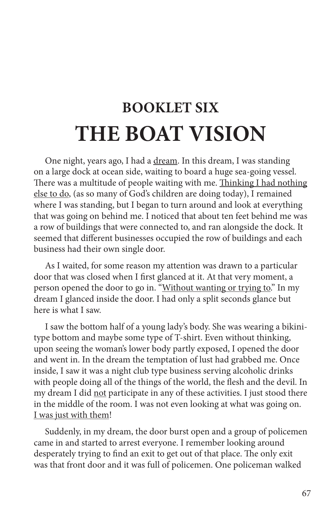## **BOOKLET SIX THE BOAT VISION**

One night, years ago, I had a dream. In this dream, I was standing on a large dock at ocean side, waiting to board a huge sea-going vessel. There was a multitude of people waiting with me. Thinking I had nothing else to do, (as so many of God's children are doing today), I remained where I was standing, but I began to turn around and look at everything that was going on behind me. I noticed that about ten feet behind me was a row of buildings that were connected to, and ran alongside the dock. It seemed that different businesses occupied the row of buildings and each business had their own single door.

As I waited, for some reason my attention was drawn to a particular door that was closed when I first glanced at it. At that very moment, a person opened the door to go in. "Without wanting or trying to." In my dream I glanced inside the door. I had only a split seconds glance but here is what I saw.

I saw the bottom half of a young lady's body. She was wearing a bikinitype bottom and maybe some type of T-shirt. Even without thinking, upon seeing the woman's lower body partly exposed, I opened the door and went in. In the dream the temptation of lust had grabbed me. Once inside, I saw it was a night club type business serving alcoholic drinks with people doing all of the things of the world, the flesh and the devil. In my dream I did not participate in any of these activities. I just stood there in the middle of the room. I was not even looking at what was going on. I was just with them!

Suddenly, in my dream, the door burst open and a group of policemen came in and started to arrest everyone. I remember looking around desperately trying to find an exit to get out of that place. The only exit was that front door and it was full of policemen. One policeman walked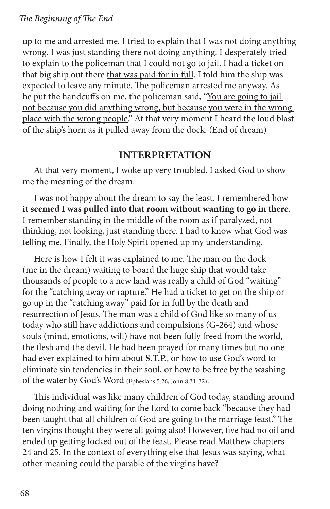up to me and arrested me. I tried to explain that I was not doing anything wrong. I was just standing there not doing anything. I desperately tried to explain to the policeman that I could not go to jail. I had a ticket on that big ship out there that was paid for in full. I told him the ship was expected to leave any minute. The policeman arrested me anyway. As he put the handcuffs on me, the policeman said, "You are going to jail not because you did anything wrong, but because you were in the wrong place with the wrong people." At that very moment I heard the loud blast of the ship's horn as it pulled away from the dock. (End of dream)

## **INTERPRETATION**

At that very moment, I woke up very troubled. I asked God to show me the meaning of the dream.

I was not happy about the dream to say the least. I remembered how **it seemed I was pulled into that room without wanting to go in there**. I remember standing in the middle of the room as if paralyzed, not thinking, not looking, just standing there. I had to know what God was telling me. Finally, the Holy Spirit opened up my understanding.

Here is how I felt it was explained to me. The man on the dock (me in the dream) waiting to board the huge ship that would take thousands of people to a new land was really a child of God "waiting" for the "catching away or rapture." He had a ticket to get on the ship or go up in the "catching away" paid for in full by the death and resurrection of Jesus. The man was a child of God like so many of us today who still have addictions and compulsions (G-264) and whose souls (mind, emotions, will) have not been fully freed from the world, the flesh and the devil. He had been prayed for many times but no one had ever explained to him about **S.T.P.**, or how to use God's word to eliminate sin tendencies in their soul, or how to be free by the washing of the water by God's Word (Ephesians 5:26; John 8:31-32).

This individual was like many children of God today, standing around doing nothing and waiting for the Lord to come back "because they had been taught that all children of God are going to the marriage feast." The ten virgins thought they were all going also! However, five had no oil and ended up getting locked out of the feast. Please read Matthew chapters 24 and 25. In the context of everything else that Jesus was saying, what other meaning could the parable of the virgins have?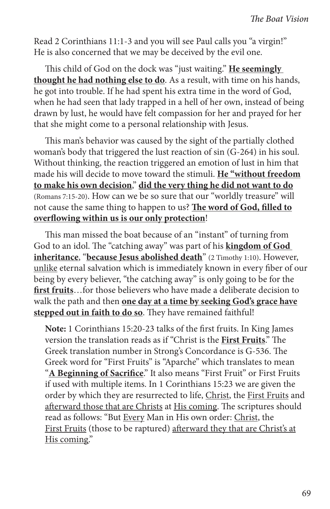Read 2 Corinthians 11:1-3 and you will see Paul calls you "a virgin!" He is also concerned that we may be deceived by the evil one.

This child of God on the dock was "just waiting." **He seemingly thought he had nothing else to do**. As a result, with time on his hands, he got into trouble. If he had spent his extra time in the word of God, when he had seen that lady trapped in a hell of her own, instead of being drawn by lust, he would have felt compassion for her and prayed for her that she might come to a personal relationship with Jesus.

This man's behavior was caused by the sight of the partially clothed woman's body that triggered the lust reaction of sin (G-264) in his soul. Without thinking, the reaction triggered an emotion of lust in him that made his will decide to move toward the stimuli. **He "without freedom to make his own decision**," **did the very thing he did not want to do** (Romans 7:15-20). How can we be so sure that our "worldly treasure" will not cause the same thing to happen to us? **The word of God, filled to overflowing within us is our only protection**!

This man missed the boat because of an "instant" of turning from God to an idol. The "catching away" was part of his **kingdom of God inheritance**, "**because Jesus abolished death**" (2 Timothy 1:10). However, unlike eternal salvation which is immediately known in every fiber of our being by every believer, "the catching away" is only going to be for the **first fruits**…for those believers who have made a deliberate decision to walk the path and then **one day at a time by seeking God's grace have stepped out in faith to do so**. They have remained faithful!

**Note:** 1 Corinthians 15:20-23 talks of the first fruits. In King James version the translation reads as if "Christ is the **First Fruits**." The Greek translation number in Strong's Concordance is G-536. The Greek word for "First Fruits" is "Aparche" which translates to mean "**A Beginning of Sacrifice**." It also means "First Fruit" or First Fruits if used with multiple items. In 1 Corinthians 15:23 we are given the order by which they are resurrected to life, Christ, the First Fruits and afterward those that are Christs at His coming. The scriptures should read as follows: "But Every Man in His own order: Christ, the First Fruits (those to be raptured) afterward they that are Christ's at His coming."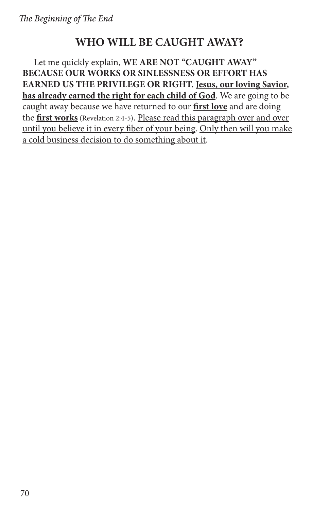## **WHO WILL BE CAUGHT AWAY?**

Let me quickly explain, **WE ARE NOT "CAUGHT AWAY" BECAUSE OUR WORKS OR SINLESSNESS OR EFFORT HAS EARNED US THE PRIVILEGE OR RIGHT. Jesus, our loving Savior, has already earned the right for each child of God**. We are going to be caught away because we have returned to our **first love** and are doing the **first works** (Revelation 2:4-5). Please read this paragraph over and over until you believe it in every fiber of your being. Only then will you make a cold business decision to do something about it.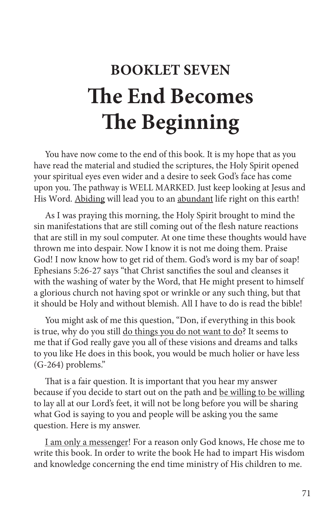# **BOOKLET SEVEN The End Becomes The Beginning**

You have now come to the end of this book. It is my hope that as you have read the material and studied the scriptures, the Holy Spirit opened your spiritual eyes even wider and a desire to seek God's face has come upon you. The pathway is WELL MARKED. Just keep looking at Jesus and His Word. Abiding will lead you to an abundant life right on this earth!

As I was praying this morning, the Holy Spirit brought to mind the sin manifestations that are still coming out of the flesh nature reactions that are still in my soul computer. At one time these thoughts would have thrown me into despair. Now I know it is not me doing them. Praise God! I now know how to get rid of them. God's word is my bar of soap! Ephesians 5:26-27 says "that Christ sanctifies the soul and cleanses it with the washing of water by the Word, that He might present to himself a glorious church not having spot or wrinkle or any such thing, but that it should be Holy and without blemish. All I have to do is read the bible!

You might ask of me this question, "Don, if everything in this book is true, why do you still do things you do not want to do? It seems to me that if God really gave you all of these visions and dreams and talks to you like He does in this book, you would be much holier or have less (G-264) problems."

That is a fair question. It is important that you hear my answer because if you decide to start out on the path and be willing to be willing to lay all at our Lord's feet, it will not be long before you will be sharing what God is saying to you and people will be asking you the same question. Here is my answer.

I am only a messenger! For a reason only God knows, He chose me to write this book. In order to write the book He had to impart His wisdom and knowledge concerning the end time ministry of His children to me.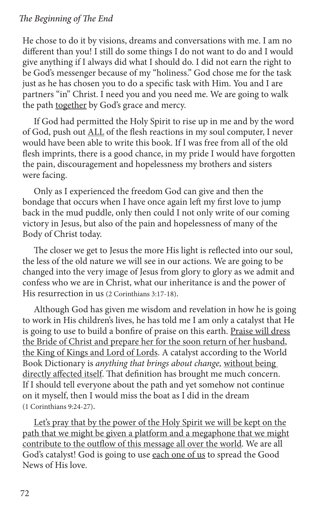#### *The Beginning of The End*

He chose to do it by visions, dreams and conversations with me. I am no different than you! I still do some things I do not want to do and I would give anything if I always did what I should do. I did not earn the right to be God's messenger because of my "holiness." God chose me for the task just as he has chosen you to do a specific task with Him. You and I are partners "in" Christ. I need you and you need me. We are going to walk the path together by God's grace and mercy.

If God had permitted the Holy Spirit to rise up in me and by the word of God, push out ALL of the flesh reactions in my soul computer, I never would have been able to write this book. If I was free from all of the old flesh imprints, there is a good chance, in my pride I would have forgotten the pain, discouragement and hopelessness my brothers and sisters were facing.

Only as I experienced the freedom God can give and then the bondage that occurs when I have once again left my first love to jump back in the mud puddle, only then could I not only write of our coming victory in Jesus, but also of the pain and hopelessness of many of the Body of Christ today.

The closer we get to Jesus the more His light is reflected into our soul, the less of the old nature we will see in our actions. We are going to be changed into the very image of Jesus from glory to glory as we admit and confess who we are in Christ, what our inheritance is and the power of His resurrection in us (2 Corinthians 3:17-18).

Although God has given me wisdom and revelation in how he is going to work in His children's lives, he has told me I am only a catalyst that He is going to use to build a bonfire of praise on this earth. Praise will dress the Bride of Christ and prepare her for the soon return of her husband, the King of Kings and Lord of Lords. A catalyst according to the World Book Dictionary is *anything that brings about change,* without being directly affected itself. That definition has brought me much concern. If I should tell everyone about the path and yet somehow not continue on it myself, then I would miss the boat as I did in the dream (1 Corinthians 9:24-27).

Let's pray that by the power of the Holy Spirit we will be kept on the path that we might be given a platform and a megaphone that we might contribute to the outflow of this message all over the world. We are all God's catalyst! God is going to use each one of us to spread the Good News of His love.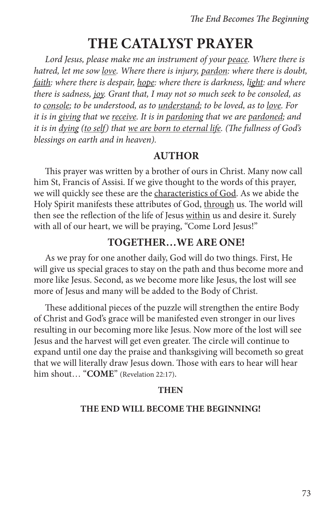## **THE CATALYST PRAYER**

*Lord Jesus, please make me an instrument of your peace. Where there is hatred, let me sow love. Where there is injury, pardon: where there is doubt, faith: where there is despair, hope: where there is darkness, light: and where there is sadness, joy. Grant that, I may not so much seek to be consoled, as to console; to be understood, as to understand; to be loved, as to love. For it is in giving that we receive. It is in pardoning that we are pardoned; and it is in dying (to self) that we are born to eternal life. (The fullness of God's blessings on earth and in heaven).*

#### **AUTHOR**

This prayer was written by a brother of ours in Christ. Many now call him St, Francis of Assisi. If we give thought to the words of this prayer, we will quickly see these are the characteristics of God. As we abide the Holy Spirit manifests these attributes of God, through us. The world will then see the reflection of the life of Jesus within us and desire it. Surely with all of our heart, we will be praying, "Come Lord Jesus!"

#### **TOGETHER…WE ARE ONE!**

As we pray for one another daily, God will do two things. First, He will give us special graces to stay on the path and thus become more and more like Jesus. Second, as we become more like Jesus, the lost will see more of Jesus and many will be added to the Body of Christ.

These additional pieces of the puzzle will strengthen the entire Body of Christ and God's grace will be manifested even stronger in our lives resulting in our becoming more like Jesus. Now more of the lost will see Jesus and the harvest will get even greater. The circle will continue to expand until one day the praise and thanksgiving will becometh so great that we will literally draw Jesus down. Those with ears to hear will hear him shout… "**COME**" (Revelation 22:17).

#### **THEN**

#### **THE END WILL BECOME THE BEGINNING!**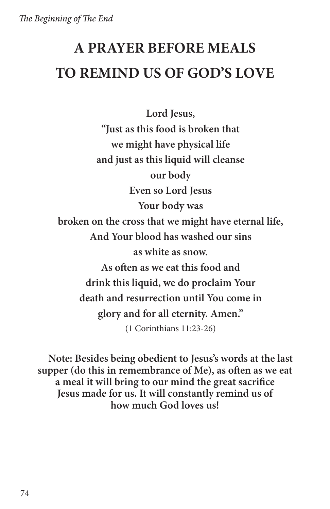## **A PRAYER BEFORE MEALS TO REMIND US OF GOD'S LOVE**

**Lord Jesus, "Just as this food is broken that we might have physical life and just as this liquid will cleanse our body Even so Lord Jesus Your body was broken on the cross that we might have eternal life, And Your blood has washed our sins as white as snow. As often as we eat this food and drink this liquid, we do proclaim Your death and resurrection until You come in glory and for all eternity. Amen."**  (1 Corinthians 11:23-26)

**Note: Besides being obedient to Jesus's words at the last supper (do this in remembrance of Me), as often as we eat a meal it will bring to our mind the great sacrifice Jesus made for us. It will constantly remind us of how much God loves us!**